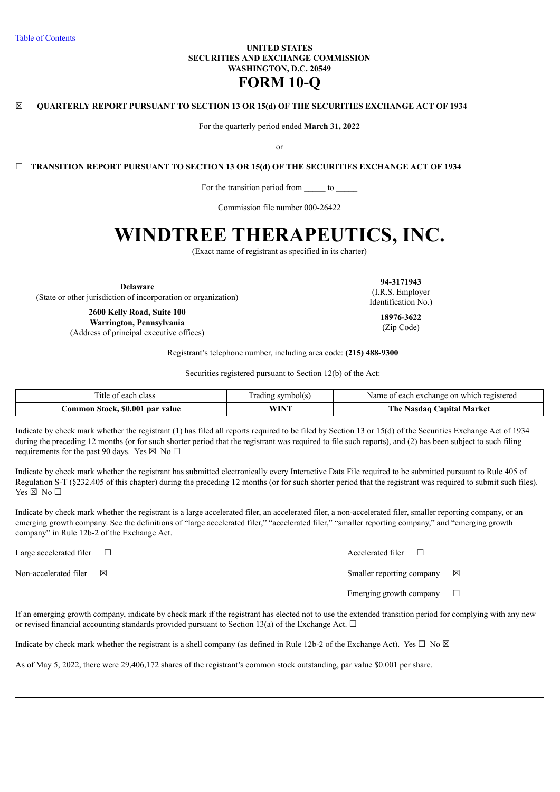# **UNITED STATES SECURITIES AND EXCHANGE COMMISSION WASHINGTON, D.C. 20549**

# **FORM 10-Q**

☒ **QUARTERLY REPORT PURSUANT TO SECTION 13 OR 15(d) OF THE SECURITIES EXCHANGE ACT OF 1934**

For the quarterly period ended **March 31, 2022**

or

☐ **TRANSITION REPORT PURSUANT TO SECTION 13 OR 15(d) OF THE SECURITIES EXCHANGE ACT OF 1934**

For the transition period from **\_\_\_\_\_** to **\_\_\_\_\_**

Commission file number 000-26422

# **WINDTREE THERAPEUTICS, INC.**

(Exact name of registrant as specified in its charter)

**Delaware** (State or other jurisdiction of incorporation or organization)

> **2600 Kelly Road, Suite 100 Warrington, Pennsylvania** (Address of principal executive offices)

**18976-3622**

Registrant's telephone number, including area code: **(215) 488-9300**

Securities registered pursuant to Section 12(b) of the Act:

| l'itle of each class            | I rading symbol(s | Name of each exchange on which registered |
|---------------------------------|-------------------|-------------------------------------------|
| Common Stock, \$0.001 par value | <b>ENTER</b>      | The Nasdaq Capital Market                 |

Indicate by check mark whether the registrant (1) has filed all reports required to be filed by Section 13 or 15(d) of the Securities Exchange Act of 1934 during the preceding 12 months (or for such shorter period that the registrant was required to file such reports), and (2) has been subject to such filing requirements for the past 90 days. Yes  $\boxtimes$  No  $\Box$ 

Indicate by check mark whether the registrant has submitted electronically every Interactive Data File required to be submitted pursuant to Rule 405 of Regulation S-T (§232.405 of this chapter) during the preceding 12 months (or for such shorter period that the registrant was required to submit such files).  $Yes \boxtimes No \square$ 

Indicate by check mark whether the registrant is a large accelerated filer, an accelerated filer, a non-accelerated filer, smaller reporting company, or an emerging growth company. See the definitions of "large accelerated filer," "accelerated filer," "smaller reporting company," and "emerging growth company" in Rule 12b-2 of the Exchange Act.

If an emerging growth company, indicate by check mark if the registrant has elected not to use the extended transition period for complying with any new or revised financial accounting standards provided pursuant to Section 13(a) of the Exchange Act.  $\Box$ 

Indicate by check mark whether the registrant is a shell company (as defined in Rule 12b-2 of the Exchange Act). Yes  $\Box$  No  $\boxtimes$ 

As of May 5, 2022, there were 29,406,172 shares of the registrant's common stock outstanding, par value \$0.001 per share.

**94-3171943** (I.R.S. Employer Identification No.)

(Zip Code)

Large accelerated filer ☐ Accelerated filer ☐

Non-accelerated filer ⊠ Smaller reporting company ⊠

Emerging growth company  $\Box$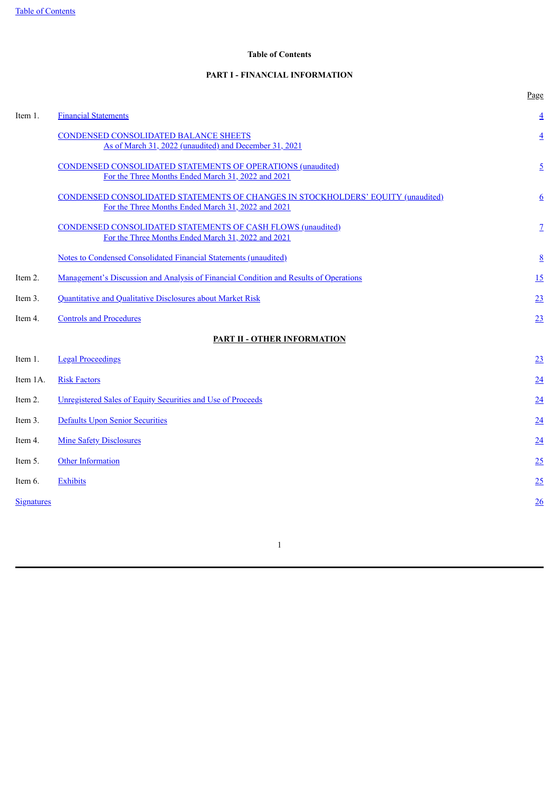# **PART I - FINANCIAL INFORMATION**

<span id="page-1-0"></span>

| Item 1.           | <b>Financial Statements</b>                                                                                                            | $\overline{4}$  |
|-------------------|----------------------------------------------------------------------------------------------------------------------------------------|-----------------|
|                   | CONDENSED CONSOLIDATED BALANCE SHEETS<br>As of March 31, 2022 (unaudited) and December 31, 2021                                        | $\overline{4}$  |
|                   | <b>CONDENSED CONSOLIDATED STATEMENTS OF OPERATIONS (unaudited)</b><br>For the Three Months Ended March 31, 2022 and 2021               | $\overline{5}$  |
|                   | CONDENSED CONSOLIDATED STATEMENTS OF CHANGES IN STOCKHOLDERS' EQUITY (unaudited)<br>For the Three Months Ended March 31, 2022 and 2021 | $6\overline{6}$ |
|                   | <b>CONDENSED CONSOLIDATED STATEMENTS OF CASH FLOWS (unaudited)</b><br>For the Three Months Ended March 31, 2022 and 2021               | $\mathcal{I}$   |
|                   | <b>Notes to Condensed Consolidated Financial Statements (unaudited)</b>                                                                | 8               |
| Item 2.           | <u>Management's Discussion and Analysis of Financial Condition and Results of Operations</u>                                           | <u>15</u>       |
| Item 3.           | Quantitative and Qualitative Disclosures about Market Risk                                                                             | 23              |
| Item 4.           | <b>Controls and Procedures</b>                                                                                                         | 23              |
|                   | <b>PART II - OTHER INFORMATION</b>                                                                                                     |                 |
| Item 1.           | <b>Legal Proceedings</b>                                                                                                               | 23              |
| Item 1A.          | <b>Risk Factors</b>                                                                                                                    | 24              |
| Item 2.           | Unregistered Sales of Equity Securities and Use of Proceeds                                                                            | 24              |
| Item 3.           | <b>Defaults Upon Senior Securities</b>                                                                                                 | 24              |
| Item 4.           | <b>Mine Safety Disclosures</b>                                                                                                         | 24              |
| Item 5.           | <b>Other Information</b>                                                                                                               | 25              |
| Item 6.           | Exhibits                                                                                                                               | 25              |
| <b>Signatures</b> |                                                                                                                                        | 26              |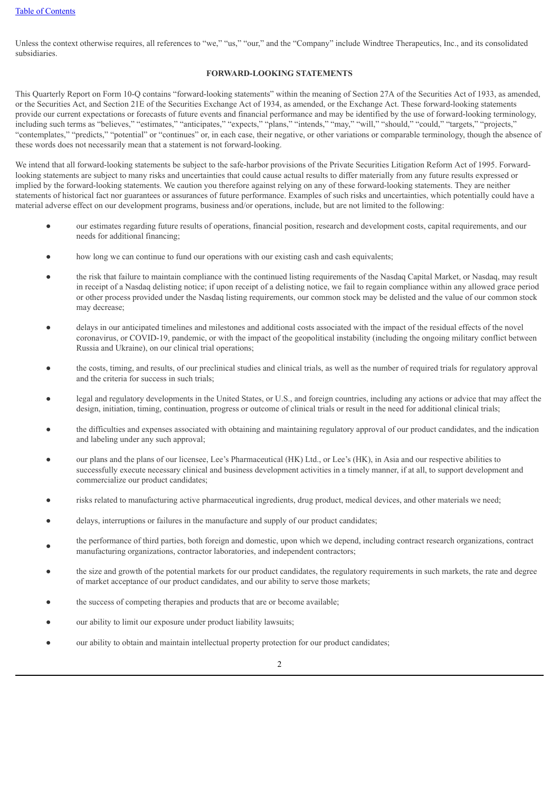Unless the context otherwise requires, all references to "we," "us," "our," and the "Company" include Windtree Therapeutics, Inc., and its consolidated subsidiaries.

#### **FORWARD-LOOKING STATEMENTS**

This Quarterly Report on Form 10-Q contains "forward-looking statements" within the meaning of Section 27A of the Securities Act of 1933, as amended, or the Securities Act, and Section 21E of the Securities Exchange Act of 1934, as amended, or the Exchange Act. These forward-looking statements provide our current expectations or forecasts of future events and financial performance and may be identified by the use of forward-looking terminology, including such terms as "believes," "estimates," "anticipates," "expects," "plans," "intends," "may," "will," "should," "could," "targets," "projects," "contemplates," "predicts," "potential" or "continues" or, in each case, their negative, or other variations or comparable terminology, though the absence of these words does not necessarily mean that a statement is not forward-looking.

We intend that all forward-looking statements be subject to the safe-harbor provisions of the Private Securities Litigation Reform Act of 1995. Forwardlooking statements are subject to many risks and uncertainties that could cause actual results to differ materially from any future results expressed or implied by the forward-looking statements. We caution you therefore against relying on any of these forward-looking statements. They are neither statements of historical fact nor guarantees or assurances of future performance. Examples of such risks and uncertainties, which potentially could have a material adverse effect on our development programs, business and/or operations, include, but are not limited to the following:

- our estimates regarding future results of operations, financial position, research and development costs, capital requirements, and our needs for additional financing;
- how long we can continue to fund our operations with our existing cash and cash equivalents;
- the risk that failure to maintain compliance with the continued listing requirements of the Nasdaq Capital Market, or Nasdaq, may result in receipt of a Nasdaq delisting notice; if upon receipt of a delisting notice, we fail to regain compliance within any allowed grace period or other process provided under the Nasdaq listing requirements, our common stock may be delisted and the value of our common stock may decrease;
- delays in our anticipated timelines and milestones and additional costs associated with the impact of the residual effects of the novel coronavirus, or COVID-19, pandemic, or with the impact of the geopolitical instability (including the ongoing military conflict between Russia and Ukraine), on our clinical trial operations;
- the costs, timing, and results, of our preclinical studies and clinical trials, as well as the number of required trials for regulatory approval and the criteria for success in such trials;
- legal and regulatory developments in the United States, or U.S., and foreign countries, including any actions or advice that may affect the design, initiation, timing, continuation, progress or outcome of clinical trials or result in the need for additional clinical trials;
- the difficulties and expenses associated with obtaining and maintaining regulatory approval of our product candidates, and the indication and labeling under any such approval;
- our plans and the plans of our licensee, Lee's Pharmaceutical (HK) Ltd., or Lee's (HK), in Asia and our respective abilities to successfully execute necessary clinical and business development activities in a timely manner, if at all, to support development and commercialize our product candidates;
- risks related to manufacturing active pharmaceutical ingredients, drug product, medical devices, and other materials we need;
- delays, interruptions or failures in the manufacture and supply of our product candidates;
- the performance of third parties, both foreign and domestic, upon which we depend, including contract research organizations, contract manufacturing organizations, contractor laboratories, and independent contractors;
- the size and growth of the potential markets for our product candidates, the regulatory requirements in such markets, the rate and degree of market acceptance of our product candidates, and our ability to serve those markets;
- the success of competing therapies and products that are or become available;
- our ability to limit our exposure under product liability lawsuits;
- our ability to obtain and maintain intellectual property protection for our product candidates;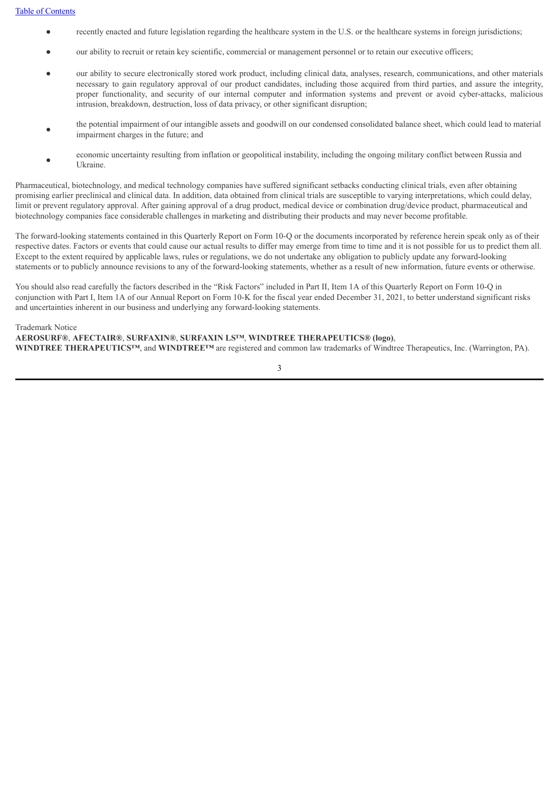- recently enacted and future legislation regarding the healthcare system in the U.S. or the healthcare systems in foreign jurisdictions;
- our ability to recruit or retain key scientific, commercial or management personnel or to retain our executive officers;
- our ability to secure electronically stored work product, including clinical data, analyses, research, communications, and other materials necessary to gain regulatory approval of our product candidates, including those acquired from third parties, and assure the integrity, proper functionality, and security of our internal computer and information systems and prevent or avoid cyber-attacks, malicious intrusion, breakdown, destruction, loss of data privacy, or other significant disruption;
- the potential impairment of our intangible assets and goodwill on our condensed consolidated balance sheet, which could lead to material impairment charges in the future; and
- economic uncertainty resulting from inflation or geopolitical instability, including the ongoing military conflict between Russia and Ukraine.

Pharmaceutical, biotechnology, and medical technology companies have suffered significant setbacks conducting clinical trials, even after obtaining promising earlier preclinical and clinical data. In addition, data obtained from clinical trials are susceptible to varying interpretations, which could delay, limit or prevent regulatory approval. After gaining approval of a drug product, medical device or combination drug/device product, pharmaceutical and biotechnology companies face considerable challenges in marketing and distributing their products and may never become profitable.

The forward-looking statements contained in this Quarterly Report on Form 10-Q or the documents incorporated by reference herein speak only as of their respective dates. Factors or events that could cause our actual results to differ may emerge from time to time and it is not possible for us to predict them all. Except to the extent required by applicable laws, rules or regulations, we do not undertake any obligation to publicly update any forward-looking statements or to publicly announce revisions to any of the forward-looking statements, whether as a result of new information, future events or otherwise.

You should also read carefully the factors described in the "Risk Factors" included in Part II, Item 1A of this Quarterly Report on Form 10-Q in conjunction with Part I, Item 1A of our Annual Report on Form 10-K for the fiscal year ended December 31, 2021, to better understand significant risks and uncertainties inherent in our business and underlying any forward-looking statements.

#### Trademark Notice

**AEROSURF®**, **AFECTAIR®**, **SURFAXIN®**, **SURFAXIN LS™**, **WINDTREE THERAPEUTICS® (logo)**, **WINDTREE THERAPEUTICS™**, and **WINDTREE™** are registered and common law trademarks of Windtree Therapeutics, Inc. (Warrington, PA).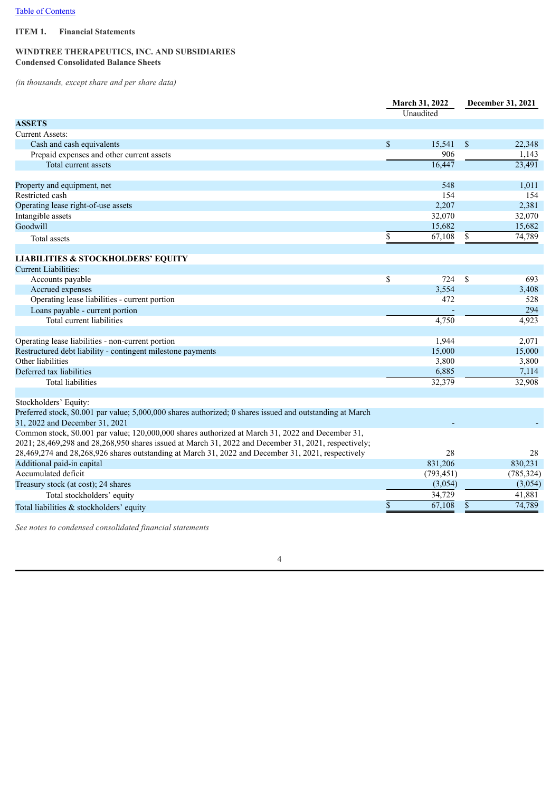# <span id="page-4-0"></span>**ITEM 1. Financial Statements**

# <span id="page-4-1"></span>**WINDTREE THERAPEUTICS, INC. AND SUBSIDIARIES Condensed Consolidated Balance Sheets**

*(in thousands, except share and per share data)*

|                                                                                                           | <b>March 31, 2022</b> |            | December 31, 2021 |              |  |
|-----------------------------------------------------------------------------------------------------------|-----------------------|------------|-------------------|--------------|--|
| <b>ASSETS</b>                                                                                             |                       | Unaudited  |                   |              |  |
| <b>Current Assets:</b>                                                                                    |                       |            |                   |              |  |
| Cash and cash equivalents                                                                                 | \$                    | 15,541     | $\mathbb{S}$      | 22,348       |  |
| Prepaid expenses and other current assets                                                                 |                       | 906        |                   | 1,143        |  |
| Total current assets                                                                                      |                       | 16,447     |                   | 23,491       |  |
|                                                                                                           |                       |            |                   |              |  |
| Property and equipment, net                                                                               |                       | 548        |                   | 1,011        |  |
| Restricted cash                                                                                           |                       | 154        |                   | 154          |  |
| Operating lease right-of-use assets                                                                       |                       | 2,207      |                   | 2,381        |  |
| Intangible assets                                                                                         |                       | 32,070     |                   | 32,070       |  |
| Goodwill                                                                                                  |                       | 15,682     |                   | 15,682       |  |
| Total assets                                                                                              | \$                    | 67,108     | \$                | 74,789       |  |
|                                                                                                           |                       |            |                   |              |  |
| <b>LIABILITIES &amp; STOCKHOLDERS' EQUITY</b><br><b>Current Liabilities:</b>                              |                       |            |                   |              |  |
| Accounts payable                                                                                          | \$                    | 724        | <sup>\$</sup>     | 693          |  |
| Accrued expenses                                                                                          |                       | 3,554      |                   |              |  |
| Operating lease liabilities - current portion                                                             |                       | 472        |                   | 3,408<br>528 |  |
|                                                                                                           |                       |            |                   | 294          |  |
| Loans payable - current portion<br>Total current liabilities                                              |                       | 4,750      |                   | 4,923        |  |
|                                                                                                           |                       |            |                   |              |  |
| Operating lease liabilities - non-current portion                                                         |                       | 1,944      |                   | 2,071        |  |
| Restructured debt liability - contingent milestone payments                                               |                       | 15,000     |                   | 15,000       |  |
| Other liabilities                                                                                         |                       | 3,800      |                   | 3,800        |  |
| Deferred tax liabilities                                                                                  |                       | 6,885      |                   | 7,114        |  |
| <b>Total liabilities</b>                                                                                  |                       | 32,379     |                   | 32,908       |  |
|                                                                                                           |                       |            |                   |              |  |
| Stockholders' Equity:                                                                                     |                       |            |                   |              |  |
| Preferred stock, \$0.001 par value; 5,000,000 shares authorized; 0 shares issued and outstanding at March |                       |            |                   |              |  |
| 31, 2022 and December 31, 2021                                                                            |                       |            |                   |              |  |
| Common stock, \$0.001 par value; 120,000,000 shares authorized at March 31, 2022 and December 31,         |                       |            |                   |              |  |
| 2021; 28,469,298 and 28,268,950 shares issued at March 31, 2022 and December 31, 2021, respectively;      |                       |            |                   |              |  |
| 28,469,274 and 28,268,926 shares outstanding at March 31, 2022 and December 31, 2021, respectively        |                       | 28         |                   | 28           |  |
| Additional paid-in capital                                                                                |                       | 831,206    |                   | 830,231      |  |
| Accumulated deficit                                                                                       |                       | (793, 451) |                   | (785, 324)   |  |
| Treasury stock (at cost); 24 shares                                                                       |                       | (3,054)    |                   | (3,054)      |  |
| Total stockholders' equity                                                                                |                       | 34,729     |                   | 41,881       |  |
| Total liabilities & stockholders' equity                                                                  | \$                    | 67,108     | \$                | 74,789       |  |

*See notes to condensed consolidated financial statements*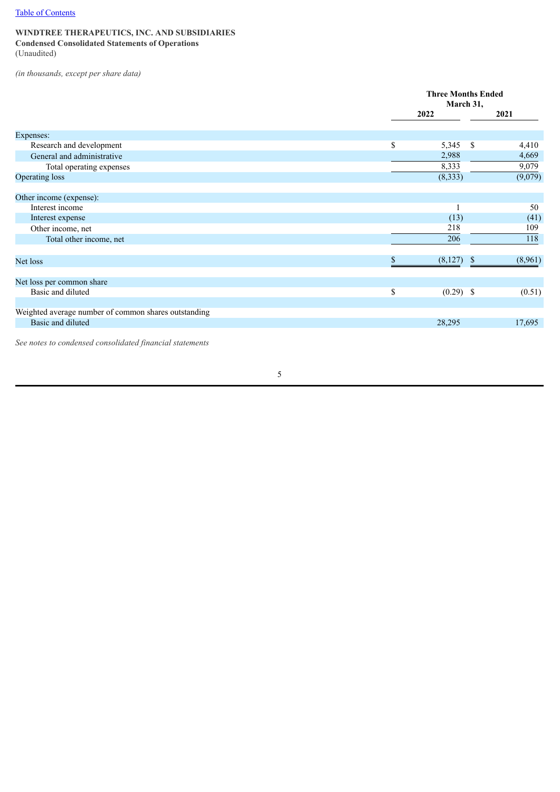# <span id="page-5-0"></span>**WINDTREE THERAPEUTICS, INC. AND SUBSIDIARIES Condensed Consolidated Statements of Operations**

(Unaudited)

*(in thousands, except per share data)*

|                                                      | <b>Three Months Ended</b><br>March 31, |         |  |
|------------------------------------------------------|----------------------------------------|---------|--|
|                                                      | 2022                                   | 2021    |  |
|                                                      |                                        |         |  |
| Expenses:                                            | \$                                     |         |  |
| Research and development                             | 5,345<br><sup>\$</sup>                 | 4,410   |  |
| General and administrative                           | 2,988                                  | 4,669   |  |
| Total operating expenses                             | 8,333                                  | 9,079   |  |
| <b>Operating loss</b>                                | (8, 333)                               | (9,079) |  |
| Other income (expense):                              |                                        |         |  |
| Interest income                                      |                                        | 50      |  |
| Interest expense                                     | (13)                                   | (41)    |  |
| Other income, net                                    | 218                                    | 109     |  |
| Total other income, net                              | 206                                    | 118     |  |
| Net loss                                             | (8,127)<br><sup>\$</sup>               | (8,961) |  |
| Net loss per common share                            |                                        |         |  |
| Basic and diluted                                    | \$<br>$(0.29)$ \$                      | (0.51)  |  |
|                                                      |                                        |         |  |
| Weighted average number of common shares outstanding |                                        |         |  |
| Basic and diluted                                    | 28,295                                 | 17,695  |  |
|                                                      |                                        |         |  |

*See notes to condensed consolidated financial statements*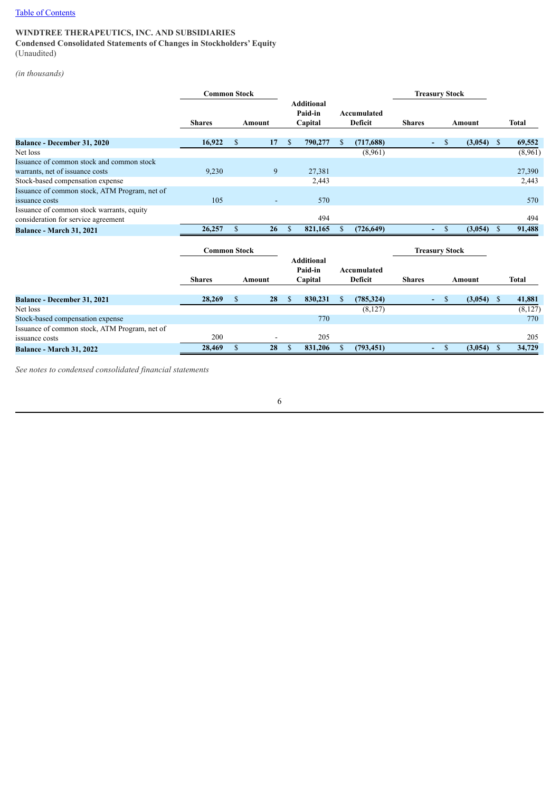# <span id="page-6-0"></span>**WINDTREE THERAPEUTICS, INC. AND SUBSIDIARIES**

**Condensed Consolidated Statements of Changes in Stockholders' Equity** (Unaudited)

*(in thousands)*

|                                                                                  | <b>Common Stock</b> |              |        |              |                                         |              | <b>Treasury Stock</b>         |               |            |                       |              |               |              |
|----------------------------------------------------------------------------------|---------------------|--------------|--------|--------------|-----------------------------------------|--------------|-------------------------------|---------------|------------|-----------------------|--------------|---------------|--------------|
|                                                                                  | <b>Shares</b>       |              | Amount |              | <b>Additional</b><br>Paid-in<br>Capital |              | Accumulated<br><b>Deficit</b> | <b>Shares</b> |            |                       | Amount       |               | <b>Total</b> |
| <b>Balance - December 31, 2020</b>                                               | 16,922              | $\mathbb{S}$ | 17     | $\mathbb{S}$ | 790,277                                 | $\mathbb{S}$ | (717,688)                     |               | $\sim$     | $\mathbb{S}$          | $(3,054)$ \$ |               | 69,552       |
| Net loss                                                                         |                     |              |        |              |                                         |              | (8,961)                       |               |            |                       |              |               | (8,961)      |
| Issuance of common stock and common stock                                        |                     |              |        |              |                                         |              |                               |               |            |                       |              |               |              |
| warrants, net of issuance costs                                                  | 9,230               |              | 9      |              | 27,381                                  |              |                               |               |            |                       |              |               | 27,390       |
| Stock-based compensation expense                                                 |                     |              |        |              | 2,443                                   |              |                               |               |            |                       |              |               | 2,443        |
| Issuance of common stock, ATM Program, net of                                    |                     |              |        |              |                                         |              |                               |               |            |                       |              |               |              |
| issuance costs                                                                   | 105                 |              |        |              | 570                                     |              |                               |               |            |                       |              |               | 570          |
| Issuance of common stock warrants, equity<br>consideration for service agreement |                     |              |        |              | 494                                     |              |                               |               |            |                       |              |               | 494          |
| <b>Balance - March 31, 2021</b>                                                  | 26,257              | $\mathbb{S}$ | 26     | \$           | 821,165                                 | $\mathbb{S}$ | (726, 649)                    |               | ٠          | $\mathbb{S}$          | (3,054)      | -S            | 91,488       |
|                                                                                  | <b>Common Stock</b> |              |        |              |                                         |              |                               |               |            | <b>Treasury Stock</b> |              |               |              |
|                                                                                  | <b>Shares</b>       |              | Amount |              | <b>Additional</b><br>Paid-in<br>Capital |              | Accumulated<br><b>Deficit</b> | <b>Shares</b> |            |                       | Amount       |               | <b>Total</b> |
| Balance - December 31, 2021                                                      | 28,269              | $\mathbb{S}$ | 28     | \$           | 830,231                                 | \$           | (785, 324)                    |               | $\sim 100$ | $\mathbb{S}$          | (3,054)      | -\$           | 41,881       |
| Net loss                                                                         |                     |              |        |              |                                         |              | (8,127)                       |               |            |                       |              |               | (8,127)      |
| Stock-based compensation expense                                                 |                     |              |        |              | 770                                     |              |                               |               |            |                       |              |               | 770          |
| Issuance of common stock, ATM Program, net of                                    |                     |              |        |              |                                         |              |                               |               |            |                       |              |               |              |
| issuance costs                                                                   | 200                 |              |        |              | 205                                     |              |                               |               |            |                       |              |               | 205          |
| <b>Balance - March 31, 2022</b>                                                  | 28,469              | $\mathbb{S}$ | 28     | \$           | 831,206                                 | \$           | (793, 451)                    |               | ٠          | $\mathbb{S}$          | (3,054)      | $\mathcal{S}$ | 34,729       |

*See notes to condensed consolidated financial statements*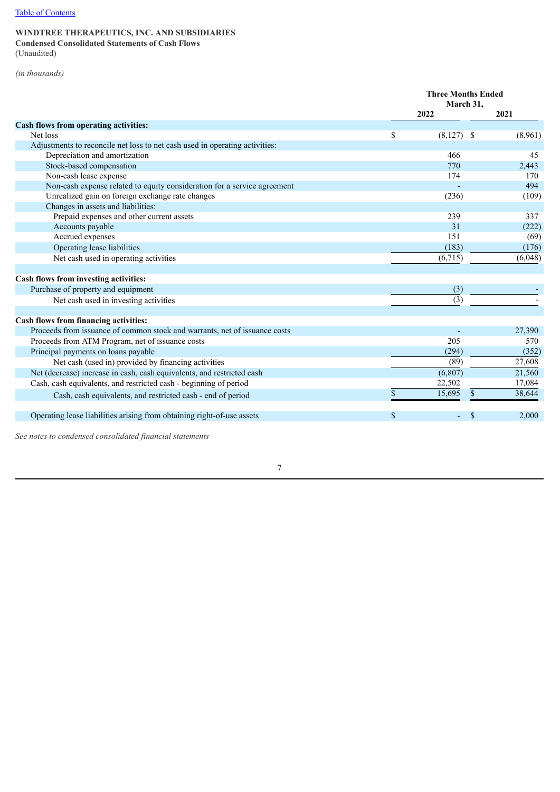# <span id="page-7-0"></span>**WINDTREE THERAPEUTICS, INC. AND SUBSIDIARIES Condensed Consolidated Statements of Cash Flows**

(Unaudited)

*(in thousands)*

|                                                                             | <b>Three Months Ended</b><br>March 31, |              |              |         |
|-----------------------------------------------------------------------------|----------------------------------------|--------------|--------------|---------|
|                                                                             |                                        | 2022         |              | 2021    |
| Cash flows from operating activities:                                       |                                        |              |              |         |
| Net loss                                                                    | \$                                     | $(8,127)$ \$ |              | (8,961) |
| Adjustments to reconcile net loss to net cash used in operating activities: |                                        |              |              |         |
| Depreciation and amortization                                               |                                        | 466          |              | 45      |
| Stock-based compensation                                                    |                                        | 770          |              | 2,443   |
| Non-cash lease expense                                                      |                                        | 174          |              | 170     |
| Non-cash expense related to equity consideration for a service agreement    |                                        |              |              | 494     |
| Unrealized gain on foreign exchange rate changes                            |                                        | (236)        |              | (109)   |
| Changes in assets and liabilities:                                          |                                        |              |              |         |
| Prepaid expenses and other current assets                                   |                                        | 239          |              | 337     |
| Accounts payable                                                            |                                        | 31           |              | (222)   |
| Accrued expenses                                                            |                                        | 151          |              | (69)    |
| Operating lease liabilities                                                 |                                        | (183)        |              | (176)   |
| Net cash used in operating activities                                       |                                        | (6, 715)     |              | (6,048) |
| Cash flows from investing activities:                                       |                                        |              |              |         |
| Purchase of property and equipment                                          |                                        | (3)          |              |         |
| Net cash used in investing activities                                       |                                        | (3)          |              |         |
|                                                                             |                                        |              |              |         |
| Cash flows from financing activities:                                       |                                        |              |              |         |
| Proceeds from issuance of common stock and warrants, net of issuance costs  |                                        |              |              | 27,390  |
| Proceeds from ATM Program, net of issuance costs                            |                                        | 205          |              | 570     |
| Principal payments on loans payable                                         |                                        | (294)        |              | (352)   |
| Net cash (used in) provided by financing activities                         |                                        | (89)         |              | 27,608  |
| Net (decrease) increase in cash, cash equivalents, and restricted cash      |                                        | (6,807)      |              | 21,560  |
| Cash, cash equivalents, and restricted cash - beginning of period           |                                        | 22,502       |              | 17,084  |
| Cash, cash equivalents, and restricted cash - end of period                 | \$                                     | 15,695       | $\mathbb{S}$ | 38,644  |
| Operating lease liabilities arising from obtaining right-of-use assets      | \$                                     |              | \$           | 2,000   |
|                                                                             |                                        |              |              |         |

*See notes to condensed consolidated financial statements*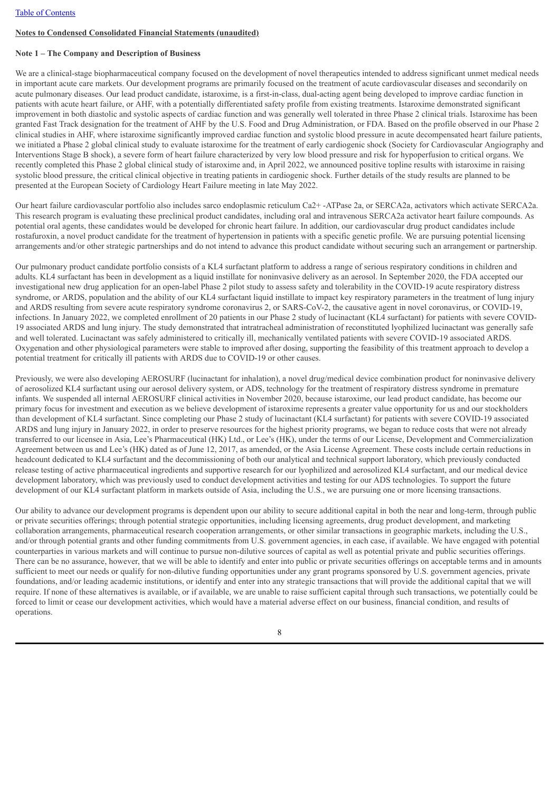# <span id="page-8-0"></span>**Notes to Condensed Consolidated Financial Statements (unaudited)**

# **Note 1 – The Company and Description of Business**

We are a clinical-stage biopharmaceutical company focused on the development of novel therapeutics intended to address significant unmet medical needs in important acute care markets. Our development programs are primarily focused on the treatment of acute cardiovascular diseases and secondarily on acute pulmonary diseases. Our lead product candidate, istaroxime, is a first-in-class, dual-acting agent being developed to improve cardiac function in patients with acute heart failure, or AHF, with a potentially differentiated safety profile from existing treatments. Istaroxime demonstrated significant improvement in both diastolic and systolic aspects of cardiac function and was generally well tolerated in three Phase 2 clinical trials. Istaroxime has been granted Fast Track designation for the treatment of AHF by the U.S. Food and Drug Administration, or FDA. Based on the profile observed in our Phase 2 clinical studies in AHF, where istaroxime significantly improved cardiac function and systolic blood pressure in acute decompensated heart failure patients, we initiated a Phase 2 global clinical study to evaluate istaroxime for the treatment of early cardiogenic shock (Society for Cardiovascular Angiography and Interventions Stage B shock), a severe form of heart failure characterized by very low blood pressure and risk for hypoperfusion to critical organs. We recently completed this Phase 2 global clinical study of istaroxime and, in April 2022, we announced positive topline results with istaroxime in raising systolic blood pressure, the critical clinical objective in treating patients in cardiogenic shock. Further details of the study results are planned to be presented at the European Society of Cardiology Heart Failure meeting in late May 2022.

Our heart failure cardiovascular portfolio also includes sarco endoplasmic reticulum Ca2+ -ATPase 2a, or SERCA2a, activators which activate SERCA2a. This research program is evaluating these preclinical product candidates, including oral and intravenous SERCA2a activator heart failure compounds. As potential oral agents, these candidates would be developed for chronic heart failure. In addition, our cardiovascular drug product candidates include rostafuroxin, a novel product candidate for the treatment of hypertension in patients with a specific genetic profile. We are pursuing potential licensing arrangements and/or other strategic partnerships and do not intend to advance this product candidate without securing such an arrangement or partnership.

Our pulmonary product candidate portfolio consists of a KL4 surfactant platform to address a range of serious respiratory conditions in children and adults. KL4 surfactant has been in development as a liquid instillate for noninvasive delivery as an aerosol. In September 2020, the FDA accepted our investigational new drug application for an open-label Phase 2 pilot study to assess safety and tolerability in the COVID-19 acute respiratory distress syndrome, or ARDS, population and the ability of our KL4 surfactant liquid instillate to impact key respiratory parameters in the treatment of lung injury and ARDS resulting from severe acute respiratory syndrome coronavirus 2, or SARS-CoV-2, the causative agent in novel coronavirus, or COVID-19, infections. In January 2022, we completed enrollment of 20 patients in our Phase 2 study of lucinactant (KL4 surfactant) for patients with severe COVID-19 associated ARDS and lung injury. The study demonstrated that intratracheal administration of reconstituted lyophilized lucinactant was generally safe and well tolerated. Lucinactant was safely administered to critically ill, mechanically ventilated patients with severe COVID-19 associated ARDS. Oxygenation and other physiological parameters were stable to improved after dosing, supporting the feasibility of this treatment approach to develop a potential treatment for critically ill patients with ARDS due to COVID-19 or other causes.

Previously, we were also developing AEROSURF (lucinactant for inhalation), a novel drug/medical device combination product for noninvasive delivery of aerosolized KL4 surfactant using our aerosol delivery system, or ADS, technology for the treatment of respiratory distress syndrome in premature infants. We suspended all internal AEROSURF clinical activities in November 2020, because istaroxime, our lead product candidate, has become our primary focus for investment and execution as we believe development of istaroxime represents a greater value opportunity for us and our stockholders than development of KL4 surfactant. Since completing our Phase 2 study of lucinactant (KL4 surfactant) for patients with severe COVID-19 associated ARDS and lung injury in January 2022, in order to preserve resources for the highest priority programs, we began to reduce costs that were not already transferred to our licensee in Asia, Lee's Pharmaceutical (HK) Ltd., or Lee's (HK), under the terms of our License, Development and Commercialization Agreement between us and Lee's (HK) dated as of June 12, 2017, as amended, or the Asia License Agreement. These costs include certain reductions in headcount dedicated to KL4 surfactant and the decommissioning of both our analytical and technical support laboratory, which previously conducted release testing of active pharmaceutical ingredients and supportive research for our lyophilized and aerosolized KL4 surfactant, and our medical device development laboratory, which was previously used to conduct development activities and testing for our ADS technologies. To support the future development of our KL4 surfactant platform in markets outside of Asia, including the U.S., we are pursuing one or more licensing transactions.

Our ability to advance our development programs is dependent upon our ability to secure additional capital in both the near and long-term, through public or private securities offerings; through potential strategic opportunities, including licensing agreements, drug product development, and marketing collaboration arrangements, pharmaceutical research cooperation arrangements, or other similar transactions in geographic markets, including the U.S., and/or through potential grants and other funding commitments from U.S. government agencies, in each case, if available. We have engaged with potential counterparties in various markets and will continue to pursue non-dilutive sources of capital as well as potential private and public securities offerings. There can be no assurance, however, that we will be able to identify and enter into public or private securities offerings on acceptable terms and in amounts sufficient to meet our needs or qualify for non-dilutive funding opportunities under any grant programs sponsored by U.S. government agencies, private foundations, and/or leading academic institutions, or identify and enter into any strategic transactions that will provide the additional capital that we will require. If none of these alternatives is available, or if available, we are unable to raise sufficient capital through such transactions, we potentially could be forced to limit or cease our development activities, which would have a material adverse effect on our business, financial condition, and results of operations.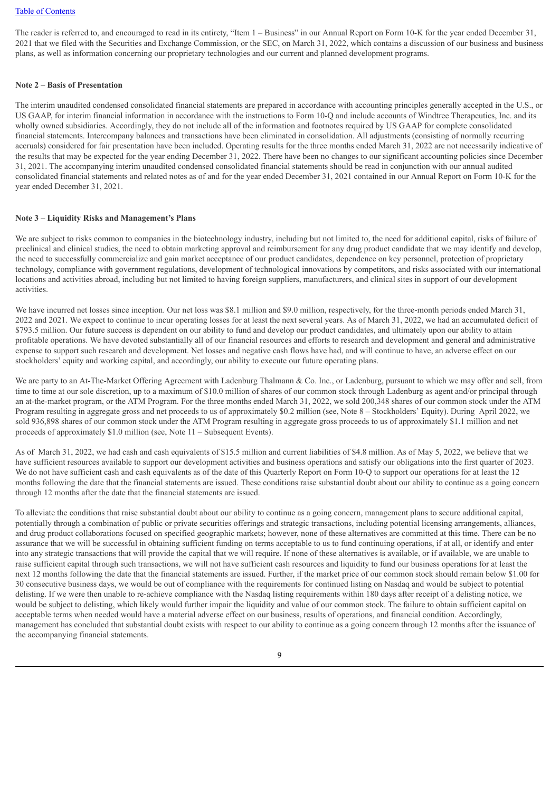The reader is referred to, and encouraged to read in its entirety, "Item 1 – Business" in our Annual Report on Form 10-K for the year ended December 31, 2021 that we filed with the Securities and Exchange Commission, or the SEC, on March 31, 2022, which contains a discussion of our business and business plans, as well as information concerning our proprietary technologies and our current and planned development programs.

#### **Note 2 – Basis of Presentation**

The interim unaudited condensed consolidated financial statements are prepared in accordance with accounting principles generally accepted in the U.S., or US GAAP, for interim financial information in accordance with the instructions to Form 10-Q and include accounts of Windtree Therapeutics, Inc. and its wholly owned subsidiaries. Accordingly, they do not include all of the information and footnotes required by US GAAP for complete consolidated financial statements. Intercompany balances and transactions have been eliminated in consolidation. All adjustments (consisting of normally recurring accruals) considered for fair presentation have been included. Operating results for the three months ended March 31, 2022 are not necessarily indicative of the results that may be expected for the year ending December 31, 2022. There have been no changes to our significant accounting policies since December 31, 2021. The accompanying interim unaudited condensed consolidated financial statements should be read in conjunction with our annual audited consolidated financial statements and related notes as of and for the year ended December 31, 2021 contained in our Annual Report on Form 10-K for the year ended December 31, 2021.

#### **Note 3 – Liquidity Risks and Management's Plans**

We are subject to risks common to companies in the biotechnology industry, including but not limited to, the need for additional capital, risks of failure of preclinical and clinical studies, the need to obtain marketing approval and reimbursement for any drug product candidate that we may identify and develop, the need to successfully commercialize and gain market acceptance of our product candidates, dependence on key personnel, protection of proprietary technology, compliance with government regulations, development of technological innovations by competitors, and risks associated with our international locations and activities abroad, including but not limited to having foreign suppliers, manufacturers, and clinical sites in support of our development activities.

We have incurred net losses since inception. Our net loss was \$8.1 million and \$9.0 million, respectively, for the three-month periods ended March 31, 2022 and 2021. We expect to continue to incur operating losses for at least the next several years. As of March 31, 2022, we had an accumulated deficit of \$793.5 million. Our future success is dependent on our ability to fund and develop our product candidates, and ultimately upon our ability to attain profitable operations. We have devoted substantially all of our financial resources and efforts to research and development and general and administrative expense to support such research and development. Net losses and negative cash flows have had, and will continue to have, an adverse effect on our stockholders' equity and working capital, and accordingly, our ability to execute our future operating plans.

We are party to an At-The-Market Offering Agreement with Ladenburg Thalmann & Co. Inc., or Ladenburg, pursuant to which we may offer and sell, from time to time at our sole discretion, up to a maximum of \$10.0 million of shares of our common stock through Ladenburg as agent and/or principal through an at-the-market program, or the ATM Program. For the three months ended March 31, 2022, we sold 200,348 shares of our common stock under the ATM Program resulting in aggregate gross and net proceeds to us of approximately \$0.2 million (see, Note 8 – Stockholders' Equity). During April 2022, we sold 936,898 shares of our common stock under the ATM Program resulting in aggregate gross proceeds to us of approximately \$1.1 million and net proceeds of approximately \$1.0 million (see, Note 11 – Subsequent Events).

As of March 31, 2022, we had cash and cash equivalents of \$15.5 million and current liabilities of \$4.8 million. As of May 5, 2022, we believe that we have sufficient resources available to support our development activities and business operations and satisfy our obligations into the first quarter of 2023. We do not have sufficient cash and cash equivalents as of the date of this Quarterly Report on Form 10-Q to support our operations for at least the 12 months following the date that the financial statements are issued. These conditions raise substantial doubt about our ability to continue as a going concern through 12 months after the date that the financial statements are issued.

To alleviate the conditions that raise substantial doubt about our ability to continue as a going concern, management plans to secure additional capital, potentially through a combination of public or private securities offerings and strategic transactions, including potential licensing arrangements, alliances, and drug product collaborations focused on specified geographic markets; however, none of these alternatives are committed at this time. There can be no assurance that we will be successful in obtaining sufficient funding on terms acceptable to us to fund continuing operations, if at all, or identify and enter into any strategic transactions that will provide the capital that we will require. If none of these alternatives is available, or if available, we are unable to raise sufficient capital through such transactions, we will not have sufficient cash resources and liquidity to fund our business operations for at least the next 12 months following the date that the financial statements are issued. Further, if the market price of our common stock should remain below \$1.00 for 30 consecutive business days, we would be out of compliance with the requirements for continued listing on Nasdaq and would be subject to potential delisting. If we were then unable to re-achieve compliance with the Nasdaq listing requirements within 180 days after receipt of a delisting notice, we would be subject to delisting, which likely would further impair the liquidity and value of our common stock. The failure to obtain sufficient capital on acceptable terms when needed would have a material adverse effect on our business, results of operations, and financial condition. Accordingly, management has concluded that substantial doubt exists with respect to our ability to continue as a going concern through 12 months after the issuance of the accompanying financial statements.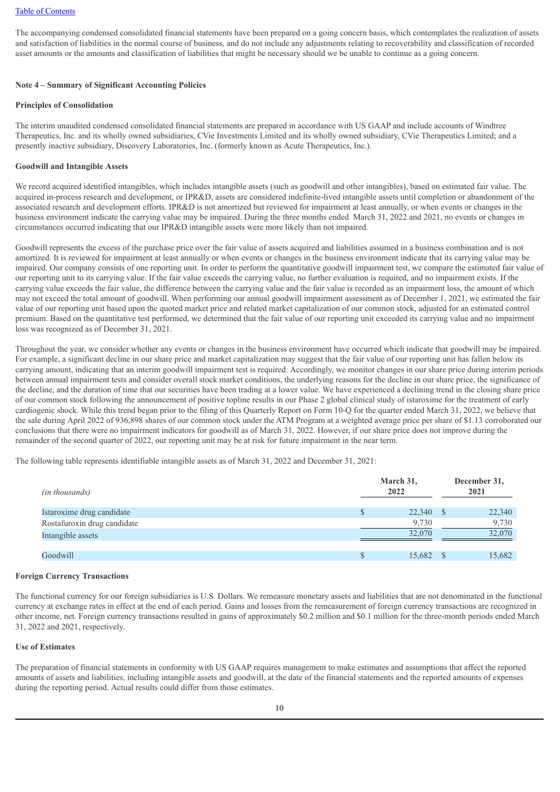The accompanying condensed consolidated financial statements have been prepared on a going concern basis, which contemplates the realization of assets and satisfaction of liabilities in the normal course of business, and do not include any adjustments relating to recoverability and classification of recorded asset amounts or the amounts and classification of liabilities that might be necessary should we be unable to continue as a going concern.

#### **Note 4 – Summary of Significant Accounting Policies**

#### **Principles of Consolidation**

The interim unaudited condensed consolidated financial statements are prepared in accordance with US GAAP and include accounts of Windtree Therapeutics, Inc. and its wholly owned subsidiaries, CVie Investments Limited and its wholly owned subsidiary, CVie Therapeutics Limited; and a presently inactive subsidiary, Discovery Laboratories, Inc. (formerly known as Acute Therapeutics, Inc.).

#### **Goodwill and Intangible Assets**

We record acquired identified intangibles, which includes intangible assets (such as goodwill and other intangibles), based on estimated fair value. The acquired in-process research and development, or IPR&D, assets are considered indefinite-lived intangible assets until completion or abandonment of the associated research and development efforts. IPR&D is not amortized but reviewed for impairment at least annually, or when events or changes in the business environment indicate the carrying value may be impaired. During the three months ended March 31, 2022 and 2021, no events or changes in circumstances occurred indicating that our IPR&D intangible assets were more likely than not impaired.

Goodwill represents the excess of the purchase price over the fair value of assets acquired and liabilities assumed in a business combination and is not amortized. It is reviewed for impairment at least annually or when events or changes in the business environment indicate that its carrying value may be impaired. Our company consists of one reporting unit. In order to perform the quantitative goodwill impairment test, we compare the estimated fair value of our reporting unit to its carrying value. If the fair value exceeds the carrying value, no further evaluation is required, and no impairment exists. If the carrying value exceeds the fair value, the difference between the carrying value and the fair value is recorded as an impairment loss, the amount of which may not exceed the total amount of goodwill. When performing our annual goodwill impairment assessment as of December 1, 2021, we estimated the fair value of our reporting unit based upon the quoted market price and related market capitalization of our common stock, adjusted for an estimated control premium. Based on the quantitative test performed, we determined that the fair value of our reporting unit exceeded its carrying value and no impairment loss was recognized as of December 31, 2021.

Throughout the year, we consider whether any events or changes in the business environment have occurred which indicate that goodwill may be impaired. For example, a significant decline in our share price and market capitalization may suggest that the fair value of our reporting unit has fallen below its carrying amount, indicating that an interim goodwill impairment test is required. Accordingly, we monitor changes in our share price during interim periods between annual impairment tests and consider overall stock market conditions, the underlying reasons for the decline in our share price, the significance of the decline, and the duration of time that our securities have been trading at a lower value. We have experienced a declining trend in the closing share price of our common stock following the announcement of positive topline results in our Phase 2 global clinical study of istaroxime for the treatment of early cardiogenic shock. While this trend began prior to the filing of this Quarterly Report on Form 10-Q for the quarter ended March 31, 2022, we believe that the sale during April 2022 of 936,898 shares of our common stock under the ATM Program at a weighted average price per share of \$1.13 corroborated our conclusions that there were no impairment indicators for goodwill as of March 31, 2022. However, if our share price does not improve during the remainder of the second quarter of 2022, our reporting unit may be at risk for future impairment in the near term.

The following table represents identifiable intangible assets as of March 31, 2022 and December 31, 2021:

| <i>(in thousands)</i>       |   | March 31,<br>2022 | December 31,<br>2021 |
|-----------------------------|---|-------------------|----------------------|
| Istaroxime drug candidate   | S | 22,340            | 22,340               |
| Rostafuroxin drug candidate |   | 9,730             | 9,730                |
| Intangible assets           |   | 32,070            | 32,070               |
|                             |   |                   |                      |
| Goodwill                    | C | 15,682            | 15,682               |

#### **Foreign Currency Transactions**

The functional currency for our foreign subsidiaries is U.S. Dollars. We remeasure monetary assets and liabilities that are not denominated in the functional currency at exchange rates in effect at the end of each period. Gains and losses from the remeasurement of foreign currency transactions are recognized in other income, net. Foreign currency transactions resulted in gains of approximately \$0.2 million and \$0.1 million for the three-month periods ended March 31, 2022 and 2021, respectively.

#### **Use of Estimates**

The preparation of financial statements in conformity with US GAAP requires management to make estimates and assumptions that affect the reported amounts of assets and liabilities, including intangible assets and goodwill, at the date of the financial statements and the reported amounts of expenses during the reporting period. Actual results could differ from those estimates.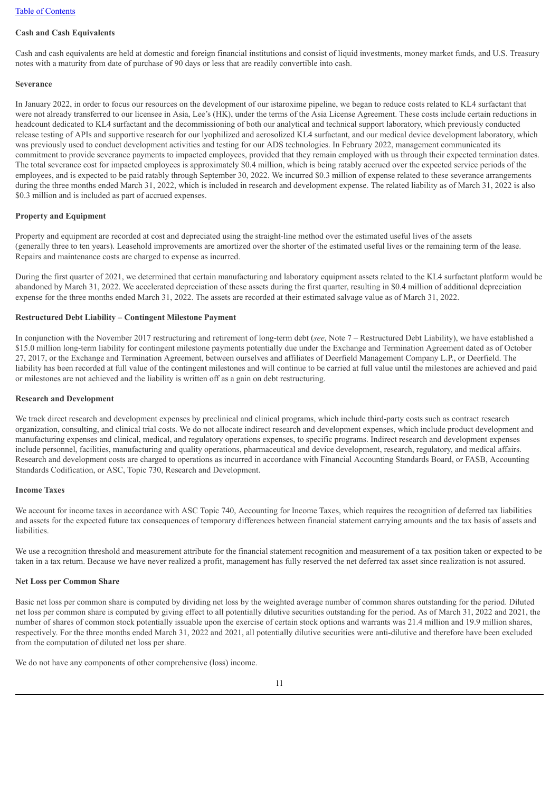# **Cash and Cash Equivalents**

Cash and cash equivalents are held at domestic and foreign financial institutions and consist of liquid investments, money market funds, and U.S. Treasury notes with a maturity from date of purchase of 90 days or less that are readily convertible into cash.

#### **Severance**

In January 2022, in order to focus our resources on the development of our istaroxime pipeline, we began to reduce costs related to KL4 surfactant that were not already transferred to our licensee in Asia, Lee's (HK), under the terms of the Asia License Agreement. These costs include certain reductions in headcount dedicated to KL4 surfactant and the decommissioning of both our analytical and technical support laboratory, which previously conducted release testing of APIs and supportive research for our lyophilized and aerosolized KL4 surfactant, and our medical device development laboratory, which was previously used to conduct development activities and testing for our ADS technologies. In February 2022, management communicated its commitment to provide severance payments to impacted employees, provided that they remain employed with us through their expected termination dates. The total severance cost for impacted employees is approximately \$0.4 million, which is being ratably accrued over the expected service periods of the employees, and is expected to be paid ratably through September 30, 2022. We incurred \$0.3 million of expense related to these severance arrangements during the three months ended March 31, 2022, which is included in research and development expense. The related liability as of March 31, 2022 is also \$0.3 million and is included as part of accrued expenses.

## **Property and Equipment**

Property and equipment are recorded at cost and depreciated using the straight-line method over the estimated useful lives of the assets (generally three to ten years). Leasehold improvements are amortized over the shorter of the estimated useful lives or the remaining term of the lease. Repairs and maintenance costs are charged to expense as incurred.

During the first quarter of 2021, we determined that certain manufacturing and laboratory equipment assets related to the KL4 surfactant platform would be abandoned by March 31, 2022. We accelerated depreciation of these assets during the first quarter, resulting in \$0.4 million of additional depreciation expense for the three months ended March 31, 2022. The assets are recorded at their estimated salvage value as of March 31, 2022.

## **Restructured Debt Liability – Contingent Milestone Payment**

In conjunction with the November 2017 restructuring and retirement of long-term debt (*see*, Note 7 – Restructured Debt Liability), we have established a \$15.0 million long-term liability for contingent milestone payments potentially due under the Exchange and Termination Agreement dated as of October 27, 2017, or the Exchange and Termination Agreement, between ourselves and affiliates of Deerfield Management Company L.P., or Deerfield. The liability has been recorded at full value of the contingent milestones and will continue to be carried at full value until the milestones are achieved and paid or milestones are not achieved and the liability is written off as a gain on debt restructuring.

## **Research and Development**

We track direct research and development expenses by preclinical and clinical programs, which include third-party costs such as contract research organization, consulting, and clinical trial costs. We do not allocate indirect research and development expenses, which include product development and manufacturing expenses and clinical, medical, and regulatory operations expenses, to specific programs. Indirect research and development expenses include personnel, facilities, manufacturing and quality operations, pharmaceutical and device development, research, regulatory, and medical affairs. Research and development costs are charged to operations as incurred in accordance with Financial Accounting Standards Board, or FASB, Accounting Standards Codification, or ASC, Topic 730, Research and Development.

## **Income Taxes**

We account for income taxes in accordance with ASC Topic 740, Accounting for Income Taxes, which requires the recognition of deferred tax liabilities and assets for the expected future tax consequences of temporary differences between financial statement carrying amounts and the tax basis of assets and liabilities.

We use a recognition threshold and measurement attribute for the financial statement recognition and measurement of a tax position taken or expected to be taken in a tax return. Because we have never realized a profit, management has fully reserved the net deferred tax asset since realization is not assured.

## **Net Loss per Common Share**

Basic net loss per common share is computed by dividing net loss by the weighted average number of common shares outstanding for the period. Diluted net loss per common share is computed by giving effect to all potentially dilutive securities outstanding for the period. As of March 31, 2022 and 2021, the number of shares of common stock potentially issuable upon the exercise of certain stock options and warrants was 21.4 million and 19.9 million shares, respectively. For the three months ended March 31, 2022 and 2021, all potentially dilutive securities were anti-dilutive and therefore have been excluded from the computation of diluted net loss per share.

We do not have any components of other comprehensive (loss) income.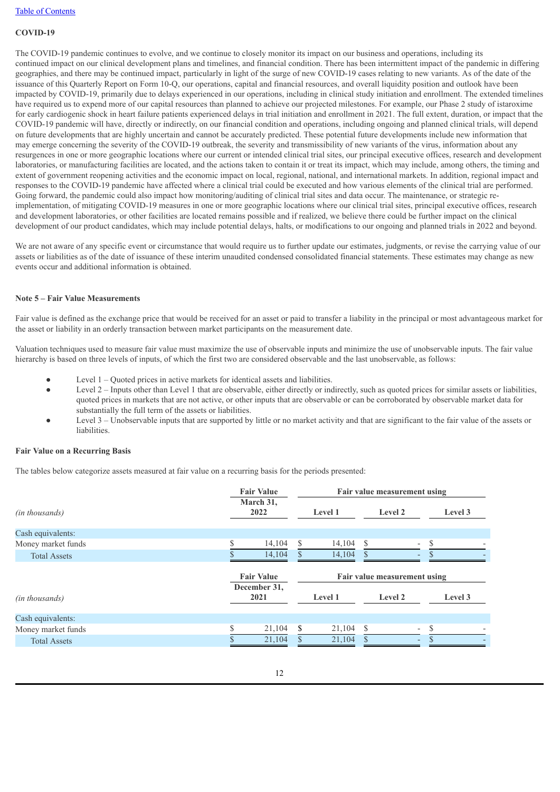# **COVID-19**

The COVID-19 pandemic continues to evolve, and we continue to closely monitor its impact on our business and operations, including its continued impact on our clinical development plans and timelines, and financial condition. There has been intermittent impact of the pandemic in differing geographies, and there may be continued impact, particularly in light of the surge of new COVID-19 cases relating to new variants. As of the date of the issuance of this Quarterly Report on Form 10-Q, our operations, capital and financial resources, and overall liquidity position and outlook have been impacted by COVID-19, primarily due to delays experienced in our operations, including in clinical study initiation and enrollment. The extended timelines have required us to expend more of our capital resources than planned to achieve our projected milestones. For example, our Phase 2 study of istaroxime for early cardiogenic shock in heart failure patients experienced delays in trial initiation and enrollment in 2021. The full extent, duration, or impact that the COVID-19 pandemic will have, directly or indirectly, on our financial condition and operations, including ongoing and planned clinical trials, will depend on future developments that are highly uncertain and cannot be accurately predicted. These potential future developments include new information that may emerge concerning the severity of the COVID-19 outbreak, the severity and transmissibility of new variants of the virus, information about any resurgences in one or more geographic locations where our current or intended clinical trial sites, our principal executive offices, research and development laboratories, or manufacturing facilities are located, and the actions taken to contain it or treat its impact, which may include, among others, the timing and extent of government reopening activities and the economic impact on local, regional, national, and international markets. In addition, regional impact and responses to the COVID-19 pandemic have affected where a clinical trial could be executed and how various elements of the clinical trial are performed. Going forward, the pandemic could also impact how monitoring/auditing of clinical trial sites and data occur. The maintenance, or strategic reimplementation, of mitigating COVID-19 measures in one or more geographic locations where our clinical trial sites, principal executive offices, research and development laboratories, or other facilities are located remains possible and if realized, we believe there could be further impact on the clinical development of our product candidates, which may include potential delays, halts, or modifications to our ongoing and planned trials in 2022 and beyond.

We are not aware of any specific event or circumstance that would require us to further update our estimates, judgments, or revise the carrying value of our assets or liabilities as of the date of issuance of these interim unaudited condensed consolidated financial statements. These estimates may change as new events occur and additional information is obtained.

#### **Note 5 – Fair Value Measurements**

Fair value is defined as the exchange price that would be received for an asset or paid to transfer a liability in the principal or most advantageous market for the asset or liability in an orderly transaction between market participants on the measurement date.

Valuation techniques used to measure fair value must maximize the use of observable inputs and minimize the use of unobservable inputs. The fair value hierarchy is based on three levels of inputs, of which the first two are considered observable and the last unobservable, as follows:

- Level  $1 -$ Quoted prices in active markets for identical assets and liabilities.
- Level 2 Inputs other than Level 1 that are observable, either directly or indirectly, such as quoted prices for similar assets or liabilities, quoted prices in markets that are not active, or other inputs that are observable or can be corroborated by observable market data for substantially the full term of the assets or liabilities.
- Level 3 Unobservable inputs that are supported by little or no market activity and that are significant to the fair value of the assets or **liabilities**

# **Fair Value on a Recurring Basis**

The tables below categorize assets measured at fair value on a recurring basis for the periods presented:

|                     | <b>Fair Value</b>    | Fair value measurement using |                                 |         |  |  |  |
|---------------------|----------------------|------------------------------|---------------------------------|---------|--|--|--|
| (in thousands)      | March 31,<br>2022    | Level 1                      | Level 2                         | Level 3 |  |  |  |
| Cash equivalents:   |                      |                              |                                 |         |  |  |  |
| Money market funds  | 14,104               | 14,104                       | \$.<br>$\overline{\phantom{a}}$ | S       |  |  |  |
| <b>Total Assets</b> | 14,104               | 14,104                       | $\overline{\phantom{0}}$        |         |  |  |  |
|                     | <b>Fair Value</b>    | Fair value measurement using |                                 |         |  |  |  |
| (in thousands)      | December 31,<br>2021 | Level 1                      | Level 2                         | Level 3 |  |  |  |
| Cash equivalents:   |                      |                              |                                 |         |  |  |  |
| Money market funds  | 21,104               | 21,104<br>S.                 | S<br>$\overline{\phantom{a}}$   | S       |  |  |  |
| <b>Total Assets</b> | 21,104               | 21,104                       | $\overline{\phantom{0}}$        |         |  |  |  |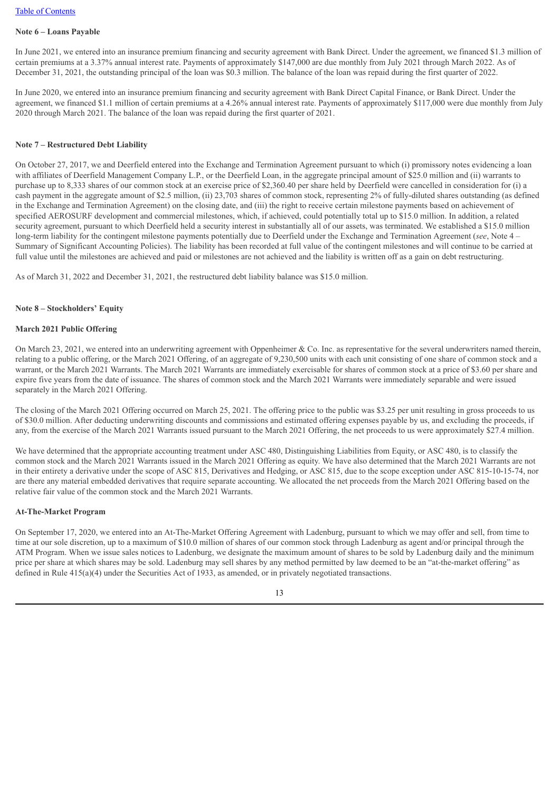#### **Note 6 – Loans Payable**

In June 2021, we entered into an insurance premium financing and security agreement with Bank Direct. Under the agreement, we financed \$1.3 million of certain premiums at a 3.37% annual interest rate. Payments of approximately \$147,000 are due monthly from July 2021 through March 2022. As of December 31, 2021, the outstanding principal of the loan was \$0.3 million. The balance of the loan was repaid during the first quarter of 2022.

In June 2020, we entered into an insurance premium financing and security agreement with Bank Direct Capital Finance, or Bank Direct. Under the agreement, we financed \$1.1 million of certain premiums at a 4.26% annual interest rate. Payments of approximately \$117,000 were due monthly from July 2020 through March 2021. The balance of the loan was repaid during the first quarter of 2021.

#### **Note 7 – Restructured Debt Liability**

On October 27, 2017, we and Deerfield entered into the Exchange and Termination Agreement pursuant to which (i) promissory notes evidencing a loan with affiliates of Deerfield Management Company L.P., or the Deerfield Loan, in the aggregate principal amount of \$25.0 million and (ii) warrants to purchase up to 8,333 shares of our common stock at an exercise price of \$2,360.40 per share held by Deerfield were cancelled in consideration for (i) a cash payment in the aggregate amount of \$2.5 million, (ii) 23,703 shares of common stock, representing 2% of fully-diluted shares outstanding (as defined in the Exchange and Termination Agreement) on the closing date, and (iii) the right to receive certain milestone payments based on achievement of specified AEROSURF development and commercial milestones, which, if achieved, could potentially total up to \$15.0 million. In addition, a related security agreement, pursuant to which Deerfield held a security interest in substantially all of our assets, was terminated. We established a \$15.0 million long-term liability for the contingent milestone payments potentially due to Deerfield under the Exchange and Termination Agreement (*see*, Note 4 – Summary of Significant Accounting Policies). The liability has been recorded at full value of the contingent milestones and will continue to be carried at full value until the milestones are achieved and paid or milestones are not achieved and the liability is written off as a gain on debt restructuring.

As of March 31, 2022 and December 31, 2021, the restructured debt liability balance was \$15.0 million.

# **Note 8 – Stockholders' Equity**

#### **March 2021 Public Offering**

On March 23, 2021, we entered into an underwriting agreement with Oppenheimer & Co. Inc. as representative for the several underwriters named therein, relating to a public offering, or the March 2021 Offering, of an aggregate of 9,230,500 units with each unit consisting of one share of common stock and a warrant, or the March 2021 Warrants. The March 2021 Warrants are immediately exercisable for shares of common stock at a price of \$3.60 per share and expire five years from the date of issuance. The shares of common stock and the March 2021 Warrants were immediately separable and were issued separately in the March 2021 Offering.

The closing of the March 2021 Offering occurred on March 25, 2021. The offering price to the public was \$3.25 per unit resulting in gross proceeds to us of \$30.0 million. After deducting underwriting discounts and commissions and estimated offering expenses payable by us, and excluding the proceeds, if any, from the exercise of the March 2021 Warrants issued pursuant to the March 2021 Offering, the net proceeds to us were approximately \$27.4 million.

We have determined that the appropriate accounting treatment under ASC 480, Distinguishing Liabilities from Equity, or ASC 480, is to classify the common stock and the March 2021 Warrants issued in the March 2021 Offering as equity. We have also determined that the March 2021 Warrants are not in their entirety a derivative under the scope of ASC 815, Derivatives and Hedging, or ASC 815, due to the scope exception under ASC 815-10-15-74, nor are there any material embedded derivatives that require separate accounting. We allocated the net proceeds from the March 2021 Offering based on the relative fair value of the common stock and the March 2021 Warrants.

## **At-The-Market Program**

On September 17, 2020, we entered into an At-The-Market Offering Agreement with Ladenburg, pursuant to which we may offer and sell, from time to time at our sole discretion, up to a maximum of \$10.0 million of shares of our common stock through Ladenburg as agent and/or principal through the ATM Program. When we issue sales notices to Ladenburg, we designate the maximum amount of shares to be sold by Ladenburg daily and the minimum price per share at which shares may be sold. Ladenburg may sell shares by any method permitted by law deemed to be an "at-the-market offering" as defined in Rule 415(a)(4) under the Securities Act of 1933, as amended, or in privately negotiated transactions.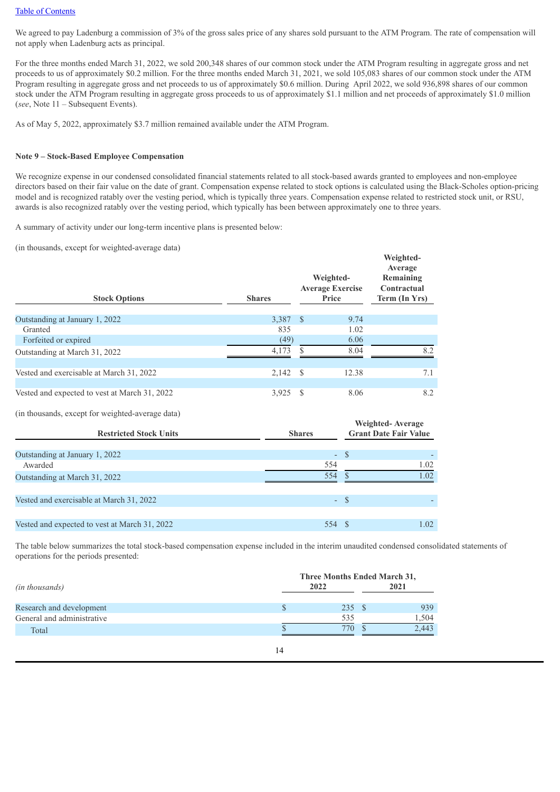We agreed to pay Ladenburg a commission of 3% of the gross sales price of any shares sold pursuant to the ATM Program. The rate of compensation will not apply when Ladenburg acts as principal.

For the three months ended March 31, 2022, we sold 200,348 shares of our common stock under the ATM Program resulting in aggregate gross and net proceeds to us of approximately \$0.2 million. For the three months ended March 31, 2021, we sold 105,083 shares of our common stock under the ATM Program resulting in aggregate gross and net proceeds to us of approximately \$0.6 million. During April 2022, we sold 936,898 shares of our common stock under the ATM Program resulting in aggregate gross proceeds to us of approximately \$1.1 million and net proceeds of approximately \$1.0 million (*see*, Note 11 – Subsequent Events).

As of May 5, 2022, approximately \$3.7 million remained available under the ATM Program.

#### **Note 9 – Stock-Based Employee Compensation**

We recognize expense in our condensed consolidated financial statements related to all stock-based awards granted to employees and non-employee directors based on their fair value on the date of grant. Compensation expense related to stock options is calculated using the Black-Scholes option-pricing model and is recognized ratably over the vesting period, which is typically three years. Compensation expense related to restricted stock unit, or RSU, awards is also recognized ratably over the vesting period, which typically has been between approximately one to three years.

A summary of activity under our long-term incentive plans is presented below:

(in thousands, except for weighted-average data)

| <b>Stock Options</b>                             | <b>Shares</b> | Weighted-<br><b>Average Exercise</b><br>Price |               | Weighted-<br>Average<br>Remaining<br>Contractual<br>Term (In Yrs) |
|--------------------------------------------------|---------------|-----------------------------------------------|---------------|-------------------------------------------------------------------|
| Outstanding at January 1, 2022                   | 3,387         | $\mathcal{S}$                                 | 9.74          |                                                                   |
| Granted                                          | 835           |                                               | 1.02          |                                                                   |
| Forfeited or expired                             | (49)          |                                               | 6.06          |                                                                   |
| Outstanding at March 31, 2022                    | 4,173         | <sup>\$</sup>                                 | 8.04          | 8.2                                                               |
|                                                  |               |                                               |               |                                                                   |
| Vested and exercisable at March 31, 2022         | 2,142         | <sup>\$</sup>                                 | 12.38         | 7.1                                                               |
| Vested and expected to vest at March 31, 2022    | 3,925         | $\mathcal{S}$                                 | 8.06          | 8.2                                                               |
| (in thousands, except for weighted-average data) |               |                                               |               |                                                                   |
| <b>Restricted Stock Units</b>                    |               | <b>Shares</b>                                 |               | <b>Weighted-Average</b><br><b>Grant Date Fair Value</b>           |
| Outstanding at January 1, 2022                   |               | ÷,                                            | $\mathcal{S}$ |                                                                   |
| Awarded                                          |               | 554                                           |               | 1.02                                                              |
| Outstanding at March 31, 2022                    |               | 554                                           | $\mathcal{S}$ | 1.02                                                              |
| Vested and exercisable at March 31, 2022         |               | $\mathcal{L}_{\mathcal{A}}$                   | $\mathcal{S}$ |                                                                   |
|                                                  |               |                                               |               |                                                                   |
| Vested and expected to vest at March 31, 2022    |               | 554 \$                                        |               | 1.02                                                              |

The table below summarizes the total stock-based compensation expense included in the interim unaudited condensed consolidated statements of operations for the periods presented:

| <i>(in thousands)</i>      | Three Months Ended March 31,<br>2022 | 2021  |
|----------------------------|--------------------------------------|-------|
| Research and development   | 235S                                 | 939   |
| General and administrative | 535                                  | 1.504 |
| Total                      | 770                                  | 2.443 |
|                            |                                      |       |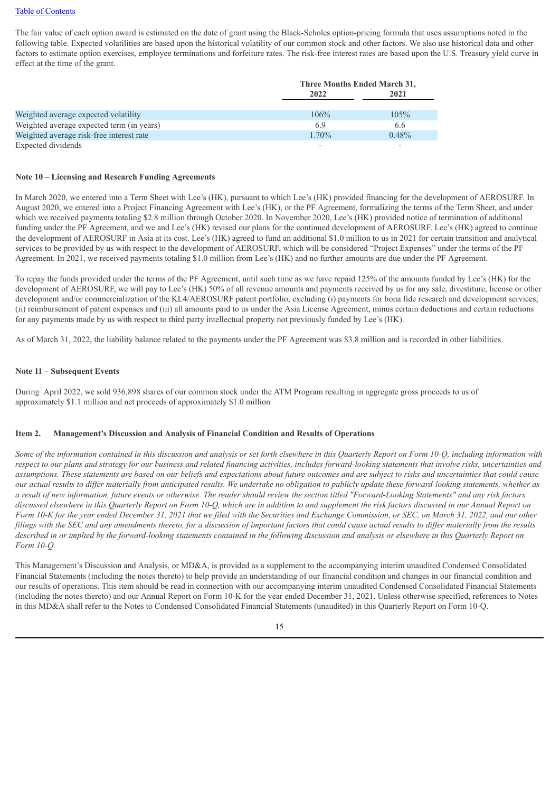The fair value of each option award is estimated on the date of grant using the Black-Scholes option-pricing formula that uses assumptions noted in the following table. Expected volatilities are based upon the historical volatility of our common stock and other factors. We also use historical data and other factors to estimate option exercises, employee terminations and forfeiture rates. The risk-free interest rates are based upon the U.S. Treasury yield curve in effect at the time of the grant.

|                                           |                          | Three Months Ended March 31, |  |  |  |
|-------------------------------------------|--------------------------|------------------------------|--|--|--|
|                                           | 2022                     | 2021                         |  |  |  |
|                                           |                          |                              |  |  |  |
| Weighted average expected volatility      | 106%                     | 105%                         |  |  |  |
| Weighted average expected term (in years) | 6.9                      | 6.6                          |  |  |  |
| Weighted average risk-free interest rate  | 1.70%                    | 0.48%                        |  |  |  |
| Expected dividends                        | $\overline{\phantom{0}}$ |                              |  |  |  |

#### **Note 10 – Licensing and Research Funding Agreements**

In March 2020, we entered into a Term Sheet with Lee's (HK), pursuant to which Lee's (HK) provided financing for the development of AEROSURF. In August 2020, we entered into a Project Financing Agreement with Lee's (HK), or the PF Agreement, formalizing the terms of the Term Sheet, and under which we received payments totaling \$2.8 million through October 2020. In November 2020, Lee's (HK) provided notice of termination of additional funding under the PF Agreement, and we and Lee's (HK) revised our plans for the continued development of AEROSURF. Lee's (HK) agreed to continue the development of AEROSURF in Asia at its cost. Lee's (HK) agreed to fund an additional \$1.0 million to us in 2021 for certain transition and analytical services to be provided by us with respect to the development of AEROSURF, which will be considered "Project Expenses" under the terms of the PF Agreement. In 2021, we received payments totaling \$1.0 million from Lee's (HK) and no further amounts are due under the PF Agreement.

To repay the funds provided under the terms of the PF Agreement, until such time as we have repaid 125% of the amounts funded by Lee's (HK) for the development of AEROSURF, we will pay to Lee's (HK) 50% of all revenue amounts and payments received by us for any sale, divestiture, license or other development and/or commercialization of the KL4/AEROSURF patent portfolio, excluding (i) payments for bona fide research and development services; (ii) reimbursement of patent expenses and (iii) all amounts paid to us under the Asia License Agreement, minus certain deductions and certain reductions for any payments made by us with respect to third party intellectual property not previously funded by Lee's (HK).

As of March 31, 2022, the liability balance related to the payments under the PF Agreement was \$3.8 million and is recorded in other liabilities.

#### **Note 11 – Subsequent Events**

During April 2022, we sold 936,898 shares of our common stock under the ATM Program resulting in aggregate gross proceeds to us of approximately \$1.1 million and net proceeds of approximately \$1.0 million

#### <span id="page-15-0"></span>**Item 2. Management's Discussion and Analysis of Financial Condition and Results of Operations**

Some of the information contained in this discussion and analysis or set forth elsewhere in this Quarterly Report on Form 10-Q, including information with respect to our plans and strategy for our business and related financing activities, includes forward-looking statements that involve risks, uncertainties and assumptions. These statements are based on our beliefs and expectations about future outcomes and are subject to risks and uncertainties that could cause our actual results to differ materially from anticipated results. We undertake no obligation to publicly update these forward-looking statements, whether as a result of new information, future events or otherwise. The reader should review the section titled "Forward-Looking Statements" and any risk factors discussed elsewhere in this Quarterly Report on Form 10-Q, which are in addition to and supplement the risk factors discussed in our Annual Report on Form 10-K for the vear ended December 31, 2021 that we filed with the Securities and Exchange Commission, or SEC, on March 31, 2022, and our other filings with the SEC and any amendments thereto, for a discussion of important factors that could cause actual results to differ materially from the results described in or implied by the forward-looking statements contained in the following discussion and analysis or elsewhere in this Quarterly Report on *Form 10-Q.*

This Management's Discussion and Analysis, or MD&A, is provided as a supplement to the accompanying interim unaudited Condensed Consolidated Financial Statements (including the notes thereto) to help provide an understanding of our financial condition and changes in our financial condition and our results of operations. This item should be read in connection with our accompanying interim unaudited Condensed Consolidated Financial Statements (including the notes thereto) and our Annual Report on Form 10-K for the year ended December 31, 2021. Unless otherwise specified, references to Notes in this MD&A shall refer to the Notes to Condensed Consolidated Financial Statements (unaudited) in this Quarterly Report on Form 10-Q.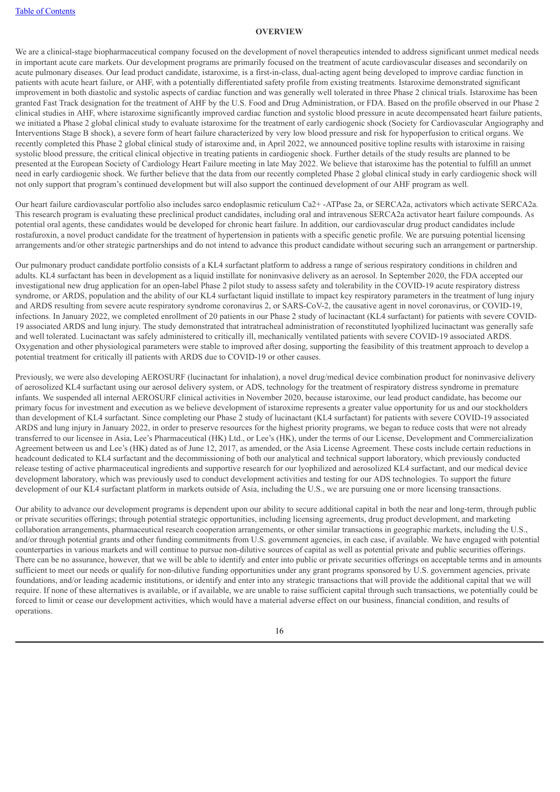#### **OVERVIEW**

We are a clinical-stage biopharmaceutical company focused on the development of novel therapeutics intended to address significant unmet medical needs in important acute care markets. Our development programs are primarily focused on the treatment of acute cardiovascular diseases and secondarily on acute pulmonary diseases. Our lead product candidate, istaroxime, is a first-in-class, dual-acting agent being developed to improve cardiac function in patients with acute heart failure, or AHF, with a potentially differentiated safety profile from existing treatments. Istaroxime demonstrated significant improvement in both diastolic and systolic aspects of cardiac function and was generally well tolerated in three Phase 2 clinical trials. Istaroxime has been granted Fast Track designation for the treatment of AHF by the U.S. Food and Drug Administration, or FDA. Based on the profile observed in our Phase 2 clinical studies in AHF, where istaroxime significantly improved cardiac function and systolic blood pressure in acute decompensated heart failure patients, we initiated a Phase 2 global clinical study to evaluate istaroxime for the treatment of early cardiogenic shock (Society for Cardiovascular Angiography and Interventions Stage B shock), a severe form of heart failure characterized by very low blood pressure and risk for hypoperfusion to critical organs. We recently completed this Phase 2 global clinical study of istaroxime and, in April 2022, we announced positive topline results with istaroxime in raising systolic blood pressure, the critical clinical objective in treating patients in cardiogenic shock. Further details of the study results are planned to be presented at the European Society of Cardiology Heart Failure meeting in late May 2022. We believe that istaroxime has the potential to fulfill an unmet need in early cardiogenic shock. We further believe that the data from our recently completed Phase 2 global clinical study in early cardiogenic shock will not only support that program's continued development but will also support the continued development of our AHF program as well.

Our heart failure cardiovascular portfolio also includes sarco endoplasmic reticulum Ca2+ -ATPase 2a, or SERCA2a, activators which activate SERCA2a. This research program is evaluating these preclinical product candidates, including oral and intravenous SERCA2a activator heart failure compounds. As potential oral agents, these candidates would be developed for chronic heart failure. In addition, our cardiovascular drug product candidates include rostafuroxin, a novel product candidate for the treatment of hypertension in patients with a specific genetic profile. We are pursuing potential licensing arrangements and/or other strategic partnerships and do not intend to advance this product candidate without securing such an arrangement or partnership.

Our pulmonary product candidate portfolio consists of a KL4 surfactant platform to address a range of serious respiratory conditions in children and adults. KL4 surfactant has been in development as a liquid instillate for noninvasive delivery as an aerosol. In September 2020, the FDA accepted our investigational new drug application for an open-label Phase 2 pilot study to assess safety and tolerability in the COVID-19 acute respiratory distress syndrome, or ARDS, population and the ability of our KL4 surfactant liquid instillate to impact key respiratory parameters in the treatment of lung injury and ARDS resulting from severe acute respiratory syndrome coronavirus 2, or SARS-CoV-2, the causative agent in novel coronavirus, or COVID-19, infections. In January 2022, we completed enrollment of 20 patients in our Phase 2 study of lucinactant (KL4 surfactant) for patients with severe COVID-19 associated ARDS and lung injury. The study demonstrated that intratracheal administration of reconstituted lyophilized lucinactant was generally safe and well tolerated. Lucinactant was safely administered to critically ill, mechanically ventilated patients with severe COVID-19 associated ARDS. Oxygenation and other physiological parameters were stable to improved after dosing, supporting the feasibility of this treatment approach to develop a potential treatment for critically ill patients with ARDS due to COVID-19 or other causes.

Previously, we were also developing AEROSURF (lucinactant for inhalation), a novel drug/medical device combination product for noninvasive delivery of aerosolized KL4 surfactant using our aerosol delivery system, or ADS, technology for the treatment of respiratory distress syndrome in premature infants. We suspended all internal AEROSURF clinical activities in November 2020, because istaroxime, our lead product candidate, has become our primary focus for investment and execution as we believe development of istaroxime represents a greater value opportunity for us and our stockholders than development of KL4 surfactant. Since completing our Phase 2 study of lucinactant (KL4 surfactant) for patients with severe COVID-19 associated ARDS and lung injury in January 2022, in order to preserve resources for the highest priority programs, we began to reduce costs that were not already transferred to our licensee in Asia, Lee's Pharmaceutical (HK) Ltd., or Lee's (HK), under the terms of our License, Development and Commercialization Agreement between us and Lee's (HK) dated as of June 12, 2017, as amended, or the Asia License Agreement. These costs include certain reductions in headcount dedicated to KL4 surfactant and the decommissioning of both our analytical and technical support laboratory, which previously conducted release testing of active pharmaceutical ingredients and supportive research for our lyophilized and aerosolized KL4 surfactant, and our medical device development laboratory, which was previously used to conduct development activities and testing for our ADS technologies. To support the future development of our KL4 surfactant platform in markets outside of Asia, including the U.S., we are pursuing one or more licensing transactions.

Our ability to advance our development programs is dependent upon our ability to secure additional capital in both the near and long-term, through public or private securities offerings; through potential strategic opportunities, including licensing agreements, drug product development, and marketing collaboration arrangements, pharmaceutical research cooperation arrangements, or other similar transactions in geographic markets, including the U.S., and/or through potential grants and other funding commitments from U.S. government agencies, in each case, if available. We have engaged with potential counterparties in various markets and will continue to pursue non-dilutive sources of capital as well as potential private and public securities offerings. There can be no assurance, however, that we will be able to identify and enter into public or private securities offerings on acceptable terms and in amounts sufficient to meet our needs or qualify for non-dilutive funding opportunities under any grant programs sponsored by U.S. government agencies, private foundations, and/or leading academic institutions, or identify and enter into any strategic transactions that will provide the additional capital that we will require. If none of these alternatives is available, or if available, we are unable to raise sufficient capital through such transactions, we potentially could be forced to limit or cease our development activities, which would have a material adverse effect on our business, financial condition, and results of operations.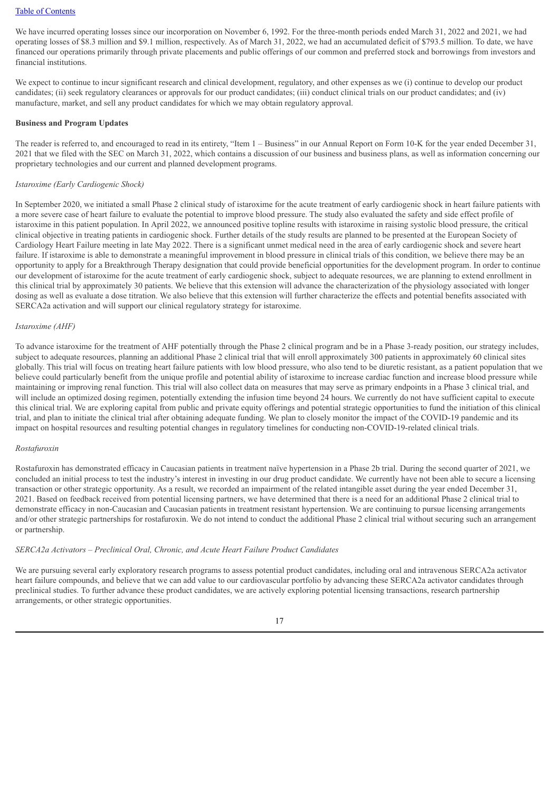We have incurred operating losses since our incorporation on November 6, 1992. For the three-month periods ended March 31, 2022 and 2021, we had operating losses of \$8.3 million and \$9.1 million, respectively. As of March 31, 2022, we had an accumulated deficit of \$793.5 million. To date, we have financed our operations primarily through private placements and public offerings of our common and preferred stock and borrowings from investors and financial institutions.

We expect to continue to incur significant research and clinical development, regulatory, and other expenses as we (i) continue to develop our product candidates; (ii) seek regulatory clearances or approvals for our product candidates; (iii) conduct clinical trials on our product candidates; and (iv) manufacture, market, and sell any product candidates for which we may obtain regulatory approval.

#### **Business and Program Updates**

The reader is referred to, and encouraged to read in its entirety, "Item 1 – Business" in our Annual Report on Form 10-K for the year ended December 31, 2021 that we filed with the SEC on March 31, 2022, which contains a discussion of our business and business plans, as well as information concerning our proprietary technologies and our current and planned development programs.

#### *Istaroxime (Early Cardiogenic Shock)*

In September 2020, we initiated a small Phase 2 clinical study of istaroxime for the acute treatment of early cardiogenic shock in heart failure patients with a more severe case of heart failure to evaluate the potential to improve blood pressure. The study also evaluated the safety and side effect profile of istaroxime in this patient population. In April 2022, we announced positive topline results with istaroxime in raising systolic blood pressure, the critical clinical objective in treating patients in cardiogenic shock. Further details of the study results are planned to be presented at the European Society of Cardiology Heart Failure meeting in late May 2022. There is a significant unmet medical need in the area of early cardiogenic shock and severe heart failure. If istaroxime is able to demonstrate a meaningful improvement in blood pressure in clinical trials of this condition, we believe there may be an opportunity to apply for a Breakthrough Therapy designation that could provide beneficial opportunities for the development program. In order to continue our development of istaroxime for the acute treatment of early cardiogenic shock, subject to adequate resources, we are planning to extend enrollment in this clinical trial by approximately 30 patients. We believe that this extension will advance the characterization of the physiology associated with longer dosing as well as evaluate a dose titration. We also believe that this extension will further characterize the effects and potential benefits associated with SERCA2a activation and will support our clinical regulatory strategy for istaroxime.

#### *Istaroxime (AHF)*

To advance istaroxime for the treatment of AHF potentially through the Phase 2 clinical program and be in a Phase 3-ready position, our strategy includes, subject to adequate resources, planning an additional Phase 2 clinical trial that will enroll approximately 300 patients in approximately 60 clinical sites globally. This trial will focus on treating heart failure patients with low blood pressure, who also tend to be diuretic resistant, as a patient population that we believe could particularly benefit from the unique profile and potential ability of istaroxime to increase cardiac function and increase blood pressure while maintaining or improving renal function. This trial will also collect data on measures that may serve as primary endpoints in a Phase 3 clinical trial, and will include an optimized dosing regimen, potentially extending the infusion time beyond 24 hours. We currently do not have sufficient capital to execute this clinical trial. We are exploring capital from public and private equity offerings and potential strategic opportunities to fund the initiation of this clinical trial, and plan to initiate the clinical trial after obtaining adequate funding. We plan to closely monitor the impact of the COVID-19 pandemic and its impact on hospital resources and resulting potential changes in regulatory timelines for conducting non-COVID-19-related clinical trials.

## *Rostafuroxin*

Rostafuroxin has demonstrated efficacy in Caucasian patients in treatment naïve hypertension in a Phase 2b trial. During the second quarter of 2021, we concluded an initial process to test the industry's interest in investing in our drug product candidate. We currently have not been able to secure a licensing transaction or other strategic opportunity. As a result, we recorded an impairment of the related intangible asset during the year ended December 31, 2021. Based on feedback received from potential licensing partners, we have determined that there is a need for an additional Phase 2 clinical trial to demonstrate efficacy in non-Caucasian and Caucasian patients in treatment resistant hypertension. We are continuing to pursue licensing arrangements and/or other strategic partnerships for rostafuroxin. We do not intend to conduct the additional Phase 2 clinical trial without securing such an arrangement or partnership.

## *SERCA2a Activators – Preclinical Oral, Chronic, and Acute Heart Failure Product Candidates*

We are pursuing several early exploratory research programs to assess potential product candidates, including oral and intravenous SERCA2a activator heart failure compounds, and believe that we can add value to our cardiovascular portfolio by advancing these SERCA2a activator candidates through preclinical studies. To further advance these product candidates, we are actively exploring potential licensing transactions, research partnership arrangements, or other strategic opportunities.

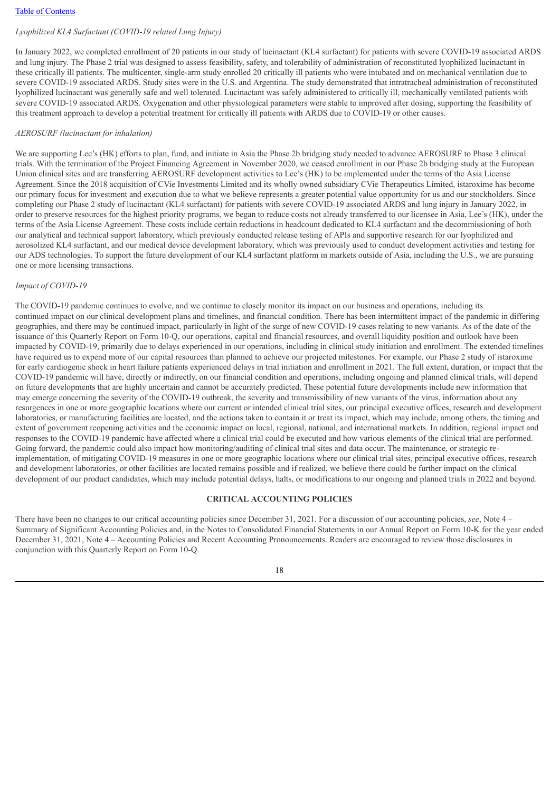# *Lyophilized KL4 Surfactant (COVID-19 related Lung Injury)*

In January 2022, we completed enrollment of 20 patients in our study of lucinactant (KL4 surfactant) for patients with severe COVID-19 associated ARDS and lung injury. The Phase 2 trial was designed to assess feasibility, safety, and tolerability of administration of reconstituted lyophilized lucinactant in these critically ill patients. The multicenter, single-arm study enrolled 20 critically ill patients who were intubated and on mechanical ventilation due to severe COVID-19 associated ARDS. Study sites were in the U.S. and Argentina. The study demonstrated that intratracheal administration of reconstituted lyophilized lucinactant was generally safe and well tolerated. Lucinactant was safely administered to critically ill, mechanically ventilated patients with severe COVID-19 associated ARDS. Oxygenation and other physiological parameters were stable to improved after dosing, supporting the feasibility of this treatment approach to develop a potential treatment for critically ill patients with ARDS due to COVID-19 or other causes.

#### *AEROSURF (lucinactant for inhalation)*

We are supporting Lee's (HK) efforts to plan, fund, and initiate in Asia the Phase 2b bridging study needed to advance AEROSURF to Phase 3 clinical trials. With the termination of the Project Financing Agreement in November 2020, we ceased enrollment in our Phase 2b bridging study at the European Union clinical sites and are transferring AEROSURF development activities to Lee's (HK) to be implemented under the terms of the Asia License Agreement. Since the 2018 acquisition of CVie Investments Limited and its wholly owned subsidiary CVie Therapeutics Limited, istaroxime has become our primary focus for investment and execution due to what we believe represents a greater potential value opportunity for us and our stockholders. Since completing our Phase 2 study of lucinactant (KL4 surfactant) for patients with severe COVID-19 associated ARDS and lung injury in January 2022, in order to preserve resources for the highest priority programs, we began to reduce costs not already transferred to our licensee in Asia, Lee's (HK), under the terms of the Asia License Agreement. These costs include certain reductions in headcount dedicated to KL4 surfactant and the decommissioning of both our analytical and technical support laboratory, which previously conducted release testing of APIs and supportive research for our lyophilized and aerosolized KL4 surfactant, and our medical device development laboratory, which was previously used to conduct development activities and testing for our ADS technologies. To support the future development of our KL4 surfactant platform in markets outside of Asia, including the U.S., we are pursuing one or more licensing transactions.

#### *Impact of COVID-19*

The COVID-19 pandemic continues to evolve, and we continue to closely monitor its impact on our business and operations, including its continued impact on our clinical development plans and timelines, and financial condition. There has been intermittent impact of the pandemic in differing geographies, and there may be continued impact, particularly in light of the surge of new COVID-19 cases relating to new variants. As of the date of the issuance of this Quarterly Report on Form 10-Q, our operations, capital and financial resources, and overall liquidity position and outlook have been impacted by COVID-19, primarily due to delays experienced in our operations, including in clinical study initiation and enrollment. The extended timelines have required us to expend more of our capital resources than planned to achieve our projected milestones. For example, our Phase 2 study of istaroxime for early cardiogenic shock in heart failure patients experienced delays in trial initiation and enrollment in 2021. The full extent, duration, or impact that the COVID-19 pandemic will have, directly or indirectly, on our financial condition and operations, including ongoing and planned clinical trials, will depend on future developments that are highly uncertain and cannot be accurately predicted. These potential future developments include new information that may emerge concerning the severity of the COVID-19 outbreak, the severity and transmissibility of new variants of the virus, information about any resurgences in one or more geographic locations where our current or intended clinical trial sites, our principal executive offices, research and development laboratories, or manufacturing facilities are located, and the actions taken to contain it or treat its impact, which may include, among others, the timing and extent of government reopening activities and the economic impact on local, regional, national, and international markets. In addition, regional impact and responses to the COVID-19 pandemic have affected where a clinical trial could be executed and how various elements of the clinical trial are performed. Going forward, the pandemic could also impact how monitoring/auditing of clinical trial sites and data occur. The maintenance, or strategic reimplementation, of mitigating COVID-19 measures in one or more geographic locations where our clinical trial sites, principal executive offices, research and development laboratories, or other facilities are located remains possible and if realized, we believe there could be further impact on the clinical development of our product candidates, which may include potential delays, halts, or modifications to our ongoing and planned trials in 2022 and beyond.

# **CRITICAL ACCOUNTING POLICIES**

There have been no changes to our critical accounting policies since December 31, 2021. For a discussion of our accounting policies, *see*, Note 4 – Summary of Significant Accounting Policies and, in the Notes to Consolidated Financial Statements in our Annual Report on Form 10-K for the year ended December 31, 2021, Note 4 – Accounting Policies and Recent Accounting Pronouncements. Readers are encouraged to review those disclosures in conjunction with this Quarterly Report on Form 10-Q.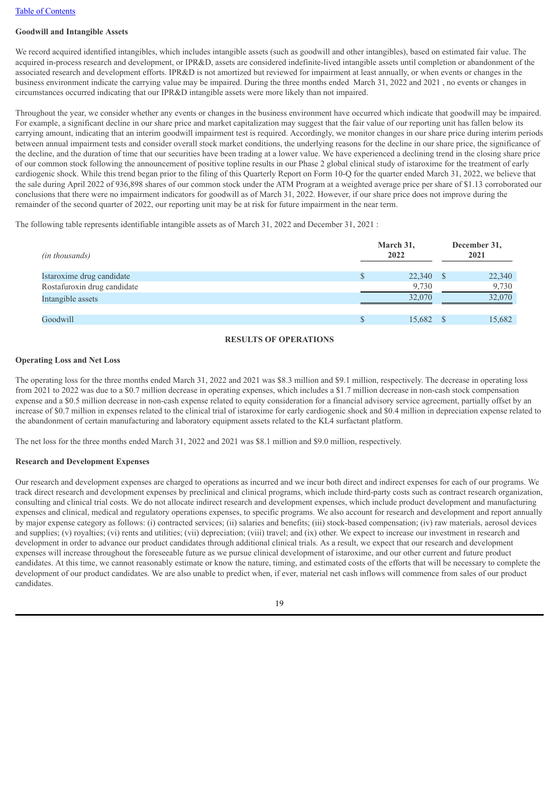## **Goodwill and Intangible Assets**

We record acquired identified intangibles, which includes intangible assets (such as goodwill and other intangibles), based on estimated fair value. The acquired in-process research and development, or IPR&D, assets are considered indefinite-lived intangible assets until completion or abandonment of the associated research and development efforts. IPR&D is not amortized but reviewed for impairment at least annually, or when events or changes in the business environment indicate the carrying value may be impaired. During the three months ended March 31, 2022 and 2021 , no events or changes in circumstances occurred indicating that our IPR&D intangible assets were more likely than not impaired.

Throughout the year, we consider whether any events or changes in the business environment have occurred which indicate that goodwill may be impaired. For example, a significant decline in our share price and market capitalization may suggest that the fair value of our reporting unit has fallen below its carrying amount, indicating that an interim goodwill impairment test is required. Accordingly, we monitor changes in our share price during interim periods between annual impairment tests and consider overall stock market conditions, the underlying reasons for the decline in our share price, the significance of the decline, and the duration of time that our securities have been trading at a lower value. We have experienced a declining trend in the closing share price of our common stock following the announcement of positive topline results in our Phase 2 global clinical study of istaroxime for the treatment of early cardiogenic shock. While this trend began prior to the filing of this Quarterly Report on Form 10-Q for the quarter ended March 31, 2022, we believe that the sale during April 2022 of 936,898 shares of our common stock under the ATM Program at a weighted average price per share of \$1.13 corroborated our conclusions that there were no impairment indicators for goodwill as of March 31, 2022. However, if our share price does not improve during the remainder of the second quarter of 2022, our reporting unit may be at risk for future impairment in the near term.

The following table represents identifiable intangible assets as of March 31, 2022 and December 31, 2021 :

| 2022   |           | December 31,<br>2021 |
|--------|-----------|----------------------|
| 22,340 |           | 22,340               |
| 9,730  |           | 9,730                |
| 32,070 |           | 32,070               |
|        |           |                      |
| 15,682 |           | 15,682               |
|        | March 31, |                      |

## **RESULTS OF OPERATIONS**

# **Operating Loss and Net Loss**

The operating loss for the three months ended March 31, 2022 and 2021 was \$8.3 million and \$9.1 million, respectively. The decrease in operating loss from 2021 to 2022 was due to a \$0.7 million decrease in operating expenses, which includes a \$1.7 million decrease in non-cash stock compensation expense and a \$0.5 million decrease in non-cash expense related to equity consideration for a financial advisory service agreement, partially offset by an increase of \$0.7 million in expenses related to the clinical trial of istaroxime for early cardiogenic shock and \$0.4 million in depreciation expense related to the abandonment of certain manufacturing and laboratory equipment assets related to the KL4 surfactant platform.

The net loss for the three months ended March 31, 2022 and 2021 was \$8.1 million and \$9.0 million, respectively.

#### **Research and Development Expenses**

Our research and development expenses are charged to operations as incurred and we incur both direct and indirect expenses for each of our programs. We track direct research and development expenses by preclinical and clinical programs, which include third-party costs such as contract research organization, consulting and clinical trial costs. We do not allocate indirect research and development expenses, which include product development and manufacturing expenses and clinical, medical and regulatory operations expenses, to specific programs. We also account for research and development and report annually by major expense category as follows: (i) contracted services; (ii) salaries and benefits; (iii) stock-based compensation; (iv) raw materials, aerosol devices and supplies; (v) royalties; (vi) rents and utilities; (vii) depreciation; (viii) travel; and (ix) other. We expect to increase our investment in research and development in order to advance our product candidates through additional clinical trials. As a result, we expect that our research and development expenses will increase throughout the foreseeable future as we pursue clinical development of istaroxime, and our other current and future product candidates. At this time, we cannot reasonably estimate or know the nature, timing, and estimated costs of the efforts that will be necessary to complete the development of our product candidates. We are also unable to predict when, if ever, material net cash inflows will commence from sales of our product candidates.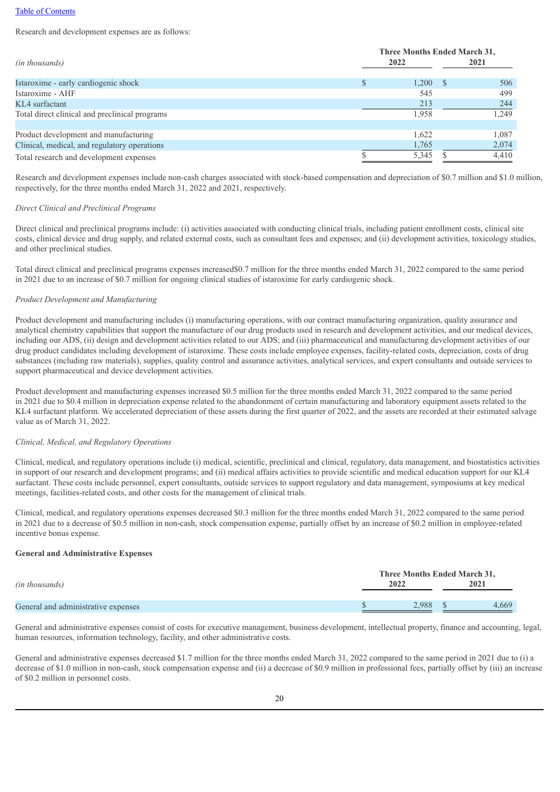Research and development expenses are as follows:

|                                                | <b>Three Months Ended March 31,</b> |  |       |  |
|------------------------------------------------|-------------------------------------|--|-------|--|
| (in thousands)                                 | 2022                                |  | 2021  |  |
| Istaroxime - early cardiogenic shock           | 1,200                               |  | 506   |  |
| Istaroxime - AHF                               | 545                                 |  | 499   |  |
| KL4 surfactant                                 | 213                                 |  | 244   |  |
| Total direct clinical and preclinical programs | 1.958                               |  | 1,249 |  |
| Product development and manufacturing          | 1,622                               |  | 1,087 |  |
| Clinical, medical, and regulatory operations   | 1,765                               |  | 2,074 |  |
| Total research and development expenses        | 5,345                               |  | 4,410 |  |

Research and development expenses include non-cash charges associated with stock-based compensation and depreciation of \$0.7 million and \$1.0 million, respectively, for the three months ended March 31, 2022 and 2021, respectively.

#### *Direct Clinical and Preclinical Programs*

Direct clinical and preclinical programs include: (i) activities associated with conducting clinical trials, including patient enrollment costs, clinical site costs, clinical device and drug supply, and related external costs, such as consultant fees and expenses; and (ii) development activities, toxicology studies, and other preclinical studies.

Total direct clinical and preclinical programs expenses increased\$0.7 million for the three months ended March 31, 2022 compared to the same period in 2021 due to an increase of \$0.7 million for ongoing clinical studies of istaroxime for early cardiogenic shock.

#### *Product Development and Manufacturing*

Product development and manufacturing includes (i) manufacturing operations, with our contract manufacturing organization, quality assurance and analytical chemistry capabilities that support the manufacture of our drug products used in research and development activities, and our medical devices, including our ADS, (ii) design and development activities related to our ADS; and (iii) pharmaceutical and manufacturing development activities of our drug product candidates including development of istaroxime. These costs include employee expenses, facility-related costs, depreciation, costs of drug substances (including raw materials), supplies, quality control and assurance activities, analytical services, and expert consultants and outside services to support pharmaceutical and device development activities.

Product development and manufacturing expenses increased \$0.5 million for the three months ended March 31, 2022 compared to the same period in 2021 due to \$0.4 million in depreciation expense related to the abandonment of certain manufacturing and laboratory equipment assets related to the KL4 surfactant platform. We accelerated depreciation of these assets during the first quarter of 2022, and the assets are recorded at their estimated salvage value as of March 31, 2022.

## *Clinical, Medical, and Regulatory Operations*

Clinical, medical, and regulatory operations include (i) medical, scientific, preclinical and clinical, regulatory, data management, and biostatistics activities in support of our research and development programs; and (ii) medical affairs activities to provide scientific and medical education support for our KL4 surfactant. These costs include personnel, expert consultants, outside services to support regulatory and data management, symposiums at key medical meetings, facilities-related costs, and other costs for the management of clinical trials.

Clinical, medical, and regulatory operations expenses decreased \$0.3 million for the three months ended March 31, 2022 compared to the same period in 2021 due to a decrease of \$0.5 million in non-cash, stock compensation expense, partially offset by an increase of \$0.2 million in employee-related incentive bonus expense.

#### **General and Administrative Expenses**

|                                     | Three Months Ended March 31, |       |  |       |  |
|-------------------------------------|------------------------------|-------|--|-------|--|
| <i>(in thousands)</i>               |                              | 2022  |  | 2021  |  |
| General and administrative expenses |                              | 2.988 |  | 4.669 |  |

General and administrative expenses consist of costs for executive management, business development, intellectual property, finance and accounting, legal, human resources, information technology, facility, and other administrative costs.

General and administrative expenses decreased \$1.7 million for the three months ended March 31, 2022 compared to the same period in 2021 due to (i) a decrease of \$1.0 million in non-cash, stock compensation expense and (ii) a decrease of \$0.9 million in professional fees, partially offset by (iii) an increase of \$0.2 million in personnel costs.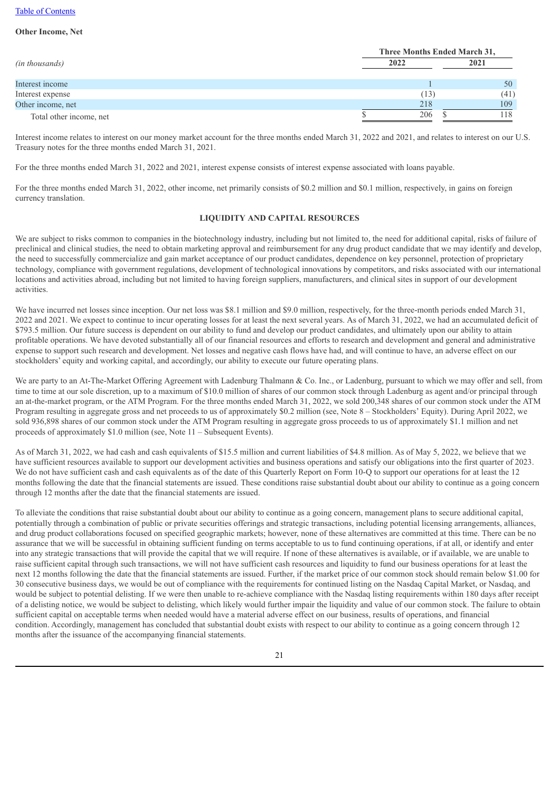## **Other Income, Net**

|                         | <b>Three Months Ended March 31,</b> |      |  |  |
|-------------------------|-------------------------------------|------|--|--|
| <i>(in thousands)</i>   | 2022                                | 2021 |  |  |
| Interest income         |                                     | 50   |  |  |
| Interest expense        | (13)                                | (41) |  |  |
| Other income, net       | 218                                 | 109  |  |  |
| Total other income, net | 206                                 | 18   |  |  |

Interest income relates to interest on our money market account for the three months ended March 31, 2022 and 2021, and relates to interest on our U.S. Treasury notes for the three months ended March 31, 2021.

For the three months ended March 31, 2022 and 2021, interest expense consists of interest expense associated with loans payable.

For the three months ended March 31, 2022, other income, net primarily consists of \$0.2 million and \$0.1 million, respectively, in gains on foreign currency translation.

#### **LIQUIDITY AND CAPITAL RESOURCES**

We are subject to risks common to companies in the biotechnology industry, including but not limited to, the need for additional capital, risks of failure of preclinical and clinical studies, the need to obtain marketing approval and reimbursement for any drug product candidate that we may identify and develop, the need to successfully commercialize and gain market acceptance of our product candidates, dependence on key personnel, protection of proprietary technology, compliance with government regulations, development of technological innovations by competitors, and risks associated with our international locations and activities abroad, including but not limited to having foreign suppliers, manufacturers, and clinical sites in support of our development activities.

We have incurred net losses since inception. Our net loss was \$8.1 million and \$9.0 million, respectively, for the three-month periods ended March 31, 2022 and 2021. We expect to continue to incur operating losses for at least the next several years. As of March 31, 2022, we had an accumulated deficit of \$793.5 million. Our future success is dependent on our ability to fund and develop our product candidates, and ultimately upon our ability to attain profitable operations. We have devoted substantially all of our financial resources and efforts to research and development and general and administrative expense to support such research and development. Net losses and negative cash flows have had, and will continue to have, an adverse effect on our stockholders' equity and working capital, and accordingly, our ability to execute our future operating plans.

We are party to an At-The-Market Offering Agreement with Ladenburg Thalmann & Co. Inc., or Ladenburg, pursuant to which we may offer and sell, from time to time at our sole discretion, up to a maximum of \$10.0 million of shares of our common stock through Ladenburg as agent and/or principal through an at-the-market program, or the ATM Program. For the three months ended March 31, 2022, we sold 200,348 shares of our common stock under the ATM Program resulting in aggregate gross and net proceeds to us of approximately \$0.2 million (see, Note 8 – Stockholders' Equity). During April 2022, we sold 936,898 shares of our common stock under the ATM Program resulting in aggregate gross proceeds to us of approximately \$1.1 million and net proceeds of approximately \$1.0 million (see, Note 11 – Subsequent Events).

As of March 31, 2022, we had cash and cash equivalents of \$15.5 million and current liabilities of \$4.8 million. As of May 5, 2022, we believe that we have sufficient resources available to support our development activities and business operations and satisfy our obligations into the first quarter of 2023. We do not have sufficient cash and cash equivalents as of the date of this Quarterly Report on Form 10-Q to support our operations for at least the 12 months following the date that the financial statements are issued. These conditions raise substantial doubt about our ability to continue as a going concern through 12 months after the date that the financial statements are issued.

To alleviate the conditions that raise substantial doubt about our ability to continue as a going concern, management plans to secure additional capital, potentially through a combination of public or private securities offerings and strategic transactions, including potential licensing arrangements, alliances, and drug product collaborations focused on specified geographic markets; however, none of these alternatives are committed at this time. There can be no assurance that we will be successful in obtaining sufficient funding on terms acceptable to us to fund continuing operations, if at all, or identify and enter into any strategic transactions that will provide the capital that we will require. If none of these alternatives is available, or if available, we are unable to raise sufficient capital through such transactions, we will not have sufficient cash resources and liquidity to fund our business operations for at least the next 12 months following the date that the financial statements are issued. Further, if the market price of our common stock should remain below \$1.00 for 30 consecutive business days, we would be out of compliance with the requirements for continued listing on the Nasdaq Capital Market, or Nasdaq, and would be subject to potential delisting. If we were then unable to re-achieve compliance with the Nasdaq listing requirements within 180 days after receipt of a delisting notice, we would be subject to delisting, which likely would further impair the liquidity and value of our common stock. The failure to obtain sufficient capital on acceptable terms when needed would have a material adverse effect on our business, results of operations, and financial condition. Accordingly, management has concluded that substantial doubt exists with respect to our ability to continue as a going concern through 12 months after the issuance of the accompanying financial statements.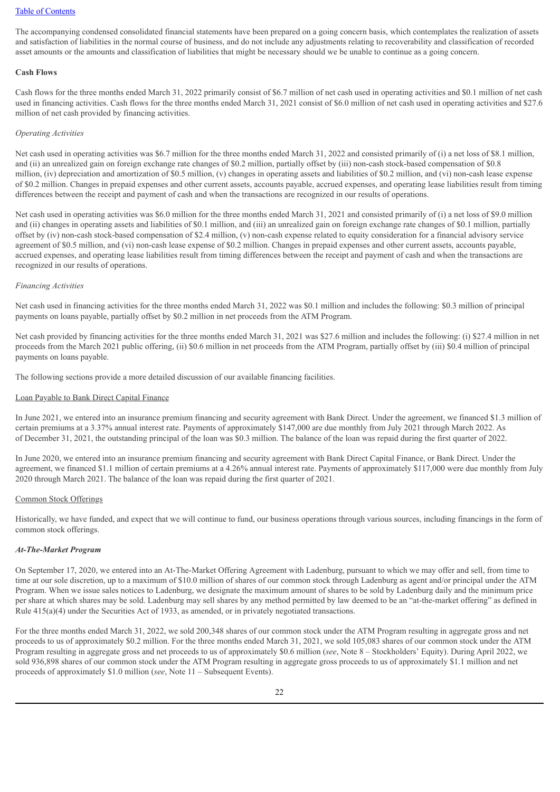The accompanying condensed consolidated financial statements have been prepared on a going concern basis, which contemplates the realization of assets and satisfaction of liabilities in the normal course of business, and do not include any adjustments relating to recoverability and classification of recorded asset amounts or the amounts and classification of liabilities that might be necessary should we be unable to continue as a going concern.

#### **Cash Flows**

Cash flows for the three months ended March 31, 2022 primarily consist of \$6.7 million of net cash used in operating activities and \$0.1 million of net cash used in financing activities. Cash flows for the three months ended March 31, 2021 consist of \$6.0 million of net cash used in operating activities and \$27.6 million of net cash provided by financing activities.

## *Operating Activities*

Net cash used in operating activities was \$6.7 million for the three months ended March 31, 2022 and consisted primarily of (i) a net loss of \$8.1 million, and (ii) an unrealized gain on foreign exchange rate changes of \$0.2 million, partially offset by (iii) non-cash stock-based compensation of \$0.8 million, (iv) depreciation and amortization of \$0.5 million, (v) changes in operating assets and liabilities of \$0.2 million, and (vi) non-cash lease expense of \$0.2 million. Changes in prepaid expenses and other current assets, accounts payable, accrued expenses, and operating lease liabilities result from timing differences between the receipt and payment of cash and when the transactions are recognized in our results of operations.

Net cash used in operating activities was \$6.0 million for the three months ended March 31, 2021 and consisted primarily of (i) a net loss of \$9.0 million and (ii) changes in operating assets and liabilities of \$0.1 million, and (iii) an unrealized gain on foreign exchange rate changes of \$0.1 million, partially offset by (iv) non-cash stock-based compensation of \$2.4 million, (v) non-cash expense related to equity consideration for a financial advisory service agreement of \$0.5 million, and (vi) non-cash lease expense of \$0.2 million. Changes in prepaid expenses and other current assets, accounts payable, accrued expenses, and operating lease liabilities result from timing differences between the receipt and payment of cash and when the transactions are recognized in our results of operations.

## *Financing Activities*

Net cash used in financing activities for the three months ended March 31, 2022 was \$0.1 million and includes the following: \$0.3 million of principal payments on loans payable, partially offset by \$0.2 million in net proceeds from the ATM Program.

Net cash provided by financing activities for the three months ended March 31, 2021 was \$27.6 million and includes the following: (i) \$27.4 million in net proceeds from the March 2021 public offering, (ii) \$0.6 million in net proceeds from the ATM Program, partially offset by (iii) \$0.4 million of principal payments on loans payable.

The following sections provide a more detailed discussion of our available financing facilities.

#### Loan Payable to Bank Direct Capital Finance

In June 2021, we entered into an insurance premium financing and security agreement with Bank Direct. Under the agreement, we financed \$1.3 million of certain premiums at a 3.37% annual interest rate. Payments of approximately \$147,000 are due monthly from July 2021 through March 2022. As of December 31, 2021, the outstanding principal of the loan was \$0.3 million. The balance of the loan was repaid during the first quarter of 2022.

In June 2020, we entered into an insurance premium financing and security agreement with Bank Direct Capital Finance, or Bank Direct. Under the agreement, we financed \$1.1 million of certain premiums at a 4.26% annual interest rate. Payments of approximately \$117,000 were due monthly from July 2020 through March 2021. The balance of the loan was repaid during the first quarter of 2021.

#### Common Stock Offerings

Historically, we have funded, and expect that we will continue to fund, our business operations through various sources, including financings in the form of common stock offerings.

## *At-The-Market Program*

On September 17, 2020, we entered into an At-The-Market Offering Agreement with Ladenburg, pursuant to which we may offer and sell, from time to time at our sole discretion, up to a maximum of \$10.0 million of shares of our common stock through Ladenburg as agent and/or principal under the ATM Program. When we issue sales notices to Ladenburg, we designate the maximum amount of shares to be sold by Ladenburg daily and the minimum price per share at which shares may be sold. Ladenburg may sell shares by any method permitted by law deemed to be an "at-the-market offering" as defined in Rule 415(a)(4) under the Securities Act of 1933, as amended, or in privately negotiated transactions.

For the three months ended March 31, 2022, we sold 200,348 shares of our common stock under the ATM Program resulting in aggregate gross and net proceeds to us of approximately \$0.2 million. For the three months ended March 31, 2021, we sold 105,083 shares of our common stock under the ATM Program resulting in aggregate gross and net proceeds to us of approximately \$0.6 million (*see*, Note 8 – Stockholders' Equity). During April 2022, we sold 936,898 shares of our common stock under the ATM Program resulting in aggregate gross proceeds to us of approximately \$1.1 million and net proceeds of approximately \$1.0 million (*see*, Note 11 – Subsequent Events).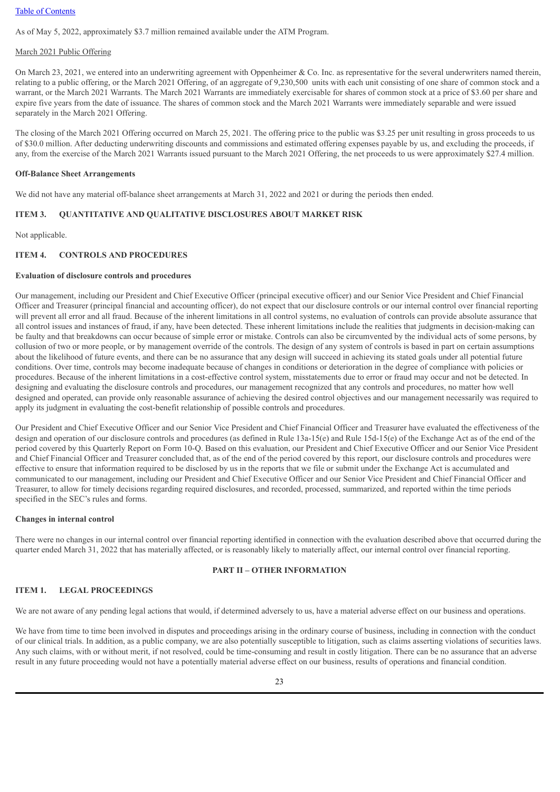As of May 5, 2022, approximately \$3.7 million remained available under the ATM Program.

#### March 2021 Public Offering

On March 23, 2021, we entered into an underwriting agreement with Oppenheimer & Co. Inc. as representative for the several underwriters named therein, relating to a public offering, or the March 2021 Offering, of an aggregate of 9,230,500 units with each unit consisting of one share of common stock and a warrant, or the March 2021 Warrants. The March 2021 Warrants are immediately exercisable for shares of common stock at a price of \$3.60 per share and expire five years from the date of issuance. The shares of common stock and the March 2021 Warrants were immediately separable and were issued separately in the March 2021 Offering.

The closing of the March 2021 Offering occurred on March 25, 2021. The offering price to the public was \$3.25 per unit resulting in gross proceeds to us of \$30.0 million. After deducting underwriting discounts and commissions and estimated offering expenses payable by us, and excluding the proceeds, if any, from the exercise of the March 2021 Warrants issued pursuant to the March 2021 Offering, the net proceeds to us were approximately \$27.4 million.

#### **Off-Balance Sheet Arrangements**

We did not have any material off-balance sheet arrangements at March 31, 2022 and 2021 or during the periods then ended.

# <span id="page-23-0"></span>**ITEM 3. QUANTITATIVE AND QUALITATIVE DISCLOSURES ABOUT MARKET RISK**

Not applicable.

# <span id="page-23-1"></span>**ITEM 4. CONTROLS AND PROCEDURES**

#### **Evaluation of disclosure controls and procedures**

Our management, including our President and Chief Executive Officer (principal executive officer) and our Senior Vice President and Chief Financial Officer and Treasurer (principal financial and accounting officer), do not expect that our disclosure controls or our internal control over financial reporting will prevent all error and all fraud. Because of the inherent limitations in all control systems, no evaluation of controls can provide absolute assurance that all control issues and instances of fraud, if any, have been detected. These inherent limitations include the realities that judgments in decision-making can be faulty and that breakdowns can occur because of simple error or mistake. Controls can also be circumvented by the individual acts of some persons, by collusion of two or more people, or by management override of the controls. The design of any system of controls is based in part on certain assumptions about the likelihood of future events, and there can be no assurance that any design will succeed in achieving its stated goals under all potential future conditions. Over time, controls may become inadequate because of changes in conditions or deterioration in the degree of compliance with policies or procedures. Because of the inherent limitations in a cost-effective control system, misstatements due to error or fraud may occur and not be detected. In designing and evaluating the disclosure controls and procedures, our management recognized that any controls and procedures, no matter how well designed and operated, can provide only reasonable assurance of achieving the desired control objectives and our management necessarily was required to apply its judgment in evaluating the cost-benefit relationship of possible controls and procedures.

Our President and Chief Executive Officer and our Senior Vice President and Chief Financial Officer and Treasurer have evaluated the effectiveness of the design and operation of our disclosure controls and procedures (as defined in Rule 13a-15(e) and Rule 15d-15(e) of the Exchange Act as of the end of the period covered by this Quarterly Report on Form 10-Q. Based on this evaluation, our President and Chief Executive Officer and our Senior Vice President and Chief Financial Officer and Treasurer concluded that, as of the end of the period covered by this report, our disclosure controls and procedures were effective to ensure that information required to be disclosed by us in the reports that we file or submit under the Exchange Act is accumulated and communicated to our management, including our President and Chief Executive Officer and our Senior Vice President and Chief Financial Officer and Treasurer, to allow for timely decisions regarding required disclosures, and recorded, processed, summarized, and reported within the time periods specified in the SEC's rules and forms.

#### **Changes in internal control**

There were no changes in our internal control over financial reporting identified in connection with the evaluation described above that occurred during the quarter ended March 31, 2022 that has materially affected, or is reasonably likely to materially affect, our internal control over financial reporting.

#### **PART II – OTHER INFORMATION**

# <span id="page-23-2"></span>**ITEM 1. LEGAL PROCEEDINGS**

We are not aware of any pending legal actions that would, if determined adversely to us, have a material adverse effect on our business and operations.

We have from time to time been involved in disputes and proceedings arising in the ordinary course of business, including in connection with the conduct of our clinical trials. In addition, as a public company, we are also potentially susceptible to litigation, such as claims asserting violations of securities laws. Any such claims, with or without merit, if not resolved, could be time-consuming and result in costly litigation. There can be no assurance that an adverse result in any future proceeding would not have a potentially material adverse effect on our business, results of operations and financial condition.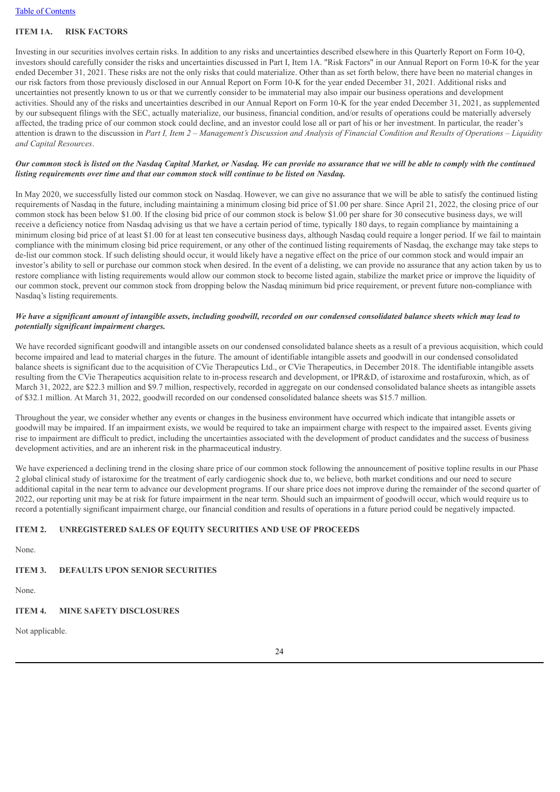# <span id="page-24-0"></span>**ITEM 1A. RISK FACTORS**

Investing in our securities involves certain risks. In addition to any risks and uncertainties described elsewhere in this Quarterly Report on Form 10-Q, investors should carefully consider the risks and uncertainties discussed in Part I, Item 1A. "Risk Factors" in our Annual Report on Form 10-K for the year ended December 31, 2021. These risks are not the only risks that could materialize. Other than as set forth below, there have been no material changes in our risk factors from those previously disclosed in our Annual Report on Form 10-K for the year ended December 31, 2021. Additional risks and uncertainties not presently known to us or that we currently consider to be immaterial may also impair our business operations and development activities. Should any of the risks and uncertainties described in our Annual Report on Form 10-K for the year ended December 31, 2021, as supplemented by our subsequent filings with the SEC, actually materialize, our business, financial condition, and/or results of operations could be materially adversely affected, the trading price of our common stock could decline, and an investor could lose all or part of his or her investment. In particular, the reader's attention is drawn to the discussion in Part I, Item  $2 -$ Management's Discussion and Analysis of Financial Condition and Results of Operations - Liquidity *and Capital Resources*.

## Our common stock is listed on the Nasdag Capital Market, or Nasdag. We can provide no assurance that we will be able to comply with the continued *listing requirements over time and that our common stock will continue to be listed on Nasdaq.*

In May 2020, we successfully listed our common stock on Nasdaq. However, we can give no assurance that we will be able to satisfy the continued listing requirements of Nasdaq in the future, including maintaining a minimum closing bid price of \$1.00 per share. Since April 21, 2022, the closing price of our common stock has been below \$1.00. If the closing bid price of our common stock is below \$1.00 per share for 30 consecutive business days, we will receive a deficiency notice from Nasdaq advising us that we have a certain period of time, typically 180 days, to regain compliance by maintaining a minimum closing bid price of at least \$1.00 for at least ten consecutive business days, although Nasdaq could require a longer period. If we fail to maintain compliance with the minimum closing bid price requirement, or any other of the continued listing requirements of Nasdaq, the exchange may take steps to de-list our common stock. If such delisting should occur, it would likely have a negative effect on the price of our common stock and would impair an investor's ability to sell or purchase our common stock when desired. In the event of a delisting, we can provide no assurance that any action taken by us to restore compliance with listing requirements would allow our common stock to become listed again, stabilize the market price or improve the liquidity of our common stock, prevent our common stock from dropping below the Nasdaq minimum bid price requirement, or prevent future non-compliance with Nasdaq's listing requirements.

# We have a significant amount of intangible assets, including goodwill, recorded on our condensed consolidated balance sheets which may lead to *potentially significant impairment charges.*

We have recorded significant goodwill and intangible assets on our condensed consolidated balance sheets as a result of a previous acquisition, which could become impaired and lead to material charges in the future. The amount of identifiable intangible assets and goodwill in our condensed consolidated balance sheets is significant due to the acquisition of CVie Therapeutics Ltd., or CVie Therapeutics, in December 2018. The identifiable intangible assets resulting from the CVie Therapeutics acquisition relate to in-process research and development, or IPR&D, of istaroxime and rostafuroxin, which, as of March 31, 2022, are \$22.3 million and \$9.7 million, respectively, recorded in aggregate on our condensed consolidated balance sheets as intangible assets of \$32.1 million. At March 31, 2022, goodwill recorded on our condensed consolidated balance sheets was \$15.7 million.

Throughout the year, we consider whether any events or changes in the business environment have occurred which indicate that intangible assets or goodwill may be impaired. If an impairment exists, we would be required to take an impairment charge with respect to the impaired asset. Events giving rise to impairment are difficult to predict, including the uncertainties associated with the development of product candidates and the success of business development activities, and are an inherent risk in the pharmaceutical industry.

We have experienced a declining trend in the closing share price of our common stock following the announcement of positive topline results in our Phase 2 global clinical study of istaroxime for the treatment of early cardiogenic shock due to, we believe, both market conditions and our need to secure additional capital in the near term to advance our development programs. If our share price does not improve during the remainder of the second quarter of 2022, our reporting unit may be at risk for future impairment in the near term. Should such an impairment of goodwill occur, which would require us to record a potentially significant impairment charge, our financial condition and results of operations in a future period could be negatively impacted.

# <span id="page-24-1"></span>**ITEM 2. UNREGISTERED SALES OF EQUITY SECURITIES AND USE OF PROCEEDS**

None.

# <span id="page-24-2"></span>**ITEM 3. DEFAULTS UPON SENIOR SECURITIES**

None.

# <span id="page-24-3"></span>**ITEM 4. MINE SAFETY DISCLOSURES**

Not applicable.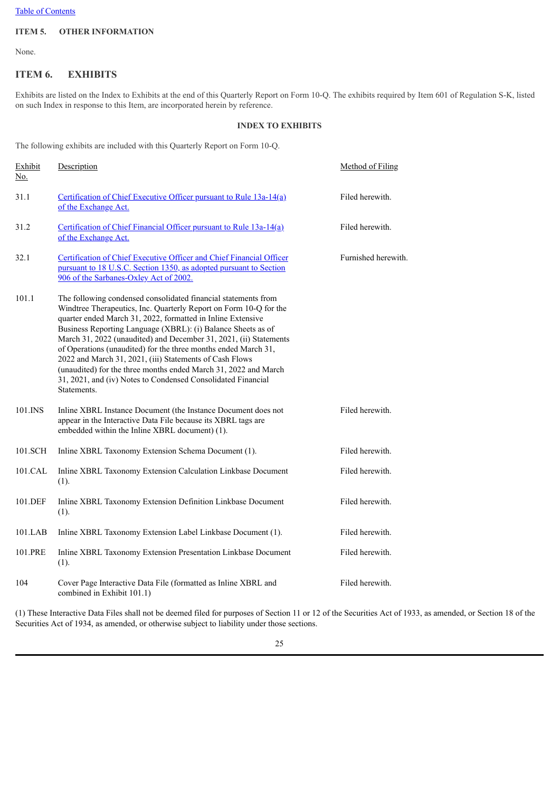# <span id="page-25-0"></span>**ITEM 5. OTHER INFORMATION**

None.

# <span id="page-25-1"></span>**ITEM 6. EXHIBITS**

Exhibits are listed on the Index to Exhibits at the end of this Quarterly Report on Form 10-Q. The exhibits required by Item 601 of Regulation S-K, listed on such Index in response to this Item, are incorporated herein by reference.

# **INDEX TO EXHIBITS**

The following exhibits are included with this Quarterly Report on Form 10-Q.

| Exhibit<br>No. | Description                                                                                                                                                                                                                                                                                                                                                                                                                                                                                                                                                                                                            | Method of Filing    |
|----------------|------------------------------------------------------------------------------------------------------------------------------------------------------------------------------------------------------------------------------------------------------------------------------------------------------------------------------------------------------------------------------------------------------------------------------------------------------------------------------------------------------------------------------------------------------------------------------------------------------------------------|---------------------|
| 31.1           | Certification of Chief Executive Officer pursuant to Rule 13a-14(a)<br>of the Exchange Act.                                                                                                                                                                                                                                                                                                                                                                                                                                                                                                                            | Filed herewith.     |
| 31.2           | Certification of Chief Financial Officer pursuant to Rule 13a-14(a)<br>of the Exchange Act.                                                                                                                                                                                                                                                                                                                                                                                                                                                                                                                            | Filed herewith.     |
| 32.1           | Certification of Chief Executive Officer and Chief Financial Officer<br>pursuant to 18 U.S.C. Section 1350, as adopted pursuant to Section<br>906 of the Sarbanes-Oxley Act of 2002.                                                                                                                                                                                                                                                                                                                                                                                                                                   | Furnished herewith. |
| 101.1          | The following condensed consolidated financial statements from<br>Windtree Therapeutics, Inc. Quarterly Report on Form 10-Q for the<br>quarter ended March 31, 2022, formatted in Inline Extensive<br>Business Reporting Language (XBRL): (i) Balance Sheets as of<br>March 31, 2022 (unaudited) and December 31, 2021, (ii) Statements<br>of Operations (unaudited) for the three months ended March 31,<br>2022 and March 31, 2021, (iii) Statements of Cash Flows<br>(unaudited) for the three months ended March 31, 2022 and March<br>31, 2021, and (iv) Notes to Condensed Consolidated Financial<br>Statements. |                     |
| 101.INS        | Inline XBRL Instance Document (the Instance Document does not<br>appear in the Interactive Data File because its XBRL tags are<br>embedded within the Inline XBRL document) (1).                                                                                                                                                                                                                                                                                                                                                                                                                                       | Filed herewith.     |
| 101.SCH        | Inline XBRL Taxonomy Extension Schema Document (1).                                                                                                                                                                                                                                                                                                                                                                                                                                                                                                                                                                    | Filed herewith.     |
| 101.CAL        | Inline XBRL Taxonomy Extension Calculation Linkbase Document<br>(1).                                                                                                                                                                                                                                                                                                                                                                                                                                                                                                                                                   | Filed herewith.     |
| 101.DEF        | Inline XBRL Taxonomy Extension Definition Linkbase Document<br>(1).                                                                                                                                                                                                                                                                                                                                                                                                                                                                                                                                                    | Filed herewith.     |
| $101$ .LAB     | Inline XBRL Taxonomy Extension Label Linkbase Document (1).                                                                                                                                                                                                                                                                                                                                                                                                                                                                                                                                                            | Filed herewith.     |
| 101.PRE        | Inline XBRL Taxonomy Extension Presentation Linkbase Document<br>(1).                                                                                                                                                                                                                                                                                                                                                                                                                                                                                                                                                  | Filed herewith.     |
| 104            | Cover Page Interactive Data File (formatted as Inline XBRL and<br>combined in Exhibit 101.1)                                                                                                                                                                                                                                                                                                                                                                                                                                                                                                                           | Filed herewith.     |

(1) These Interactive Data Files shall not be deemed filed for purposes of Section 11 or 12 of the Securities Act of 1933, as amended, or Section 18 of the Securities Act of 1934, as amended, or otherwise subject to liability under those sections.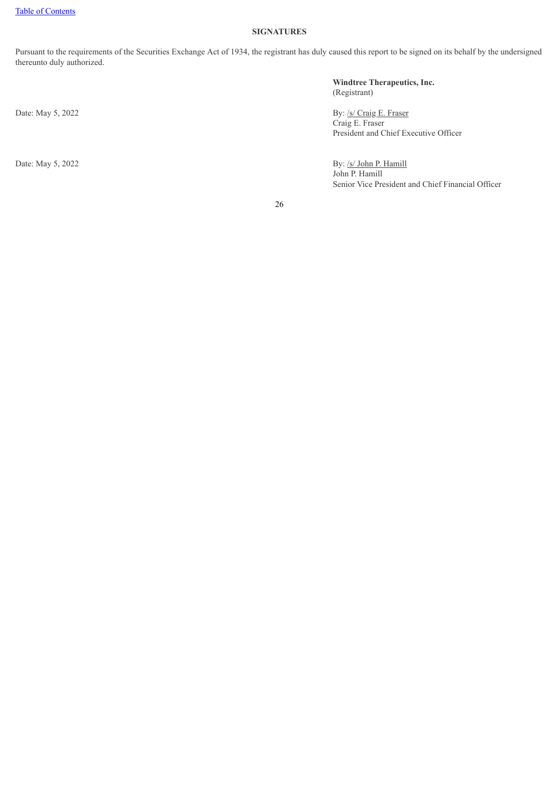# **SIGNATURES**

<span id="page-26-0"></span>Pursuant to the requirements of the Securities Exchange Act of 1934, the registrant has duly caused this report to be signed on its behalf by the undersigned thereunto duly authorized.

# **Windtree Therapeutics, Inc.** (Registrant)

Date: May 5, 2022 By: /s/ Craig E. Fraser Craig E. Fraser President and Chief Executive Officer

Date: May 5, 2022 By: /s/ John P. Hamill John P. Hamill Senior Vice President and Chief Financial Officer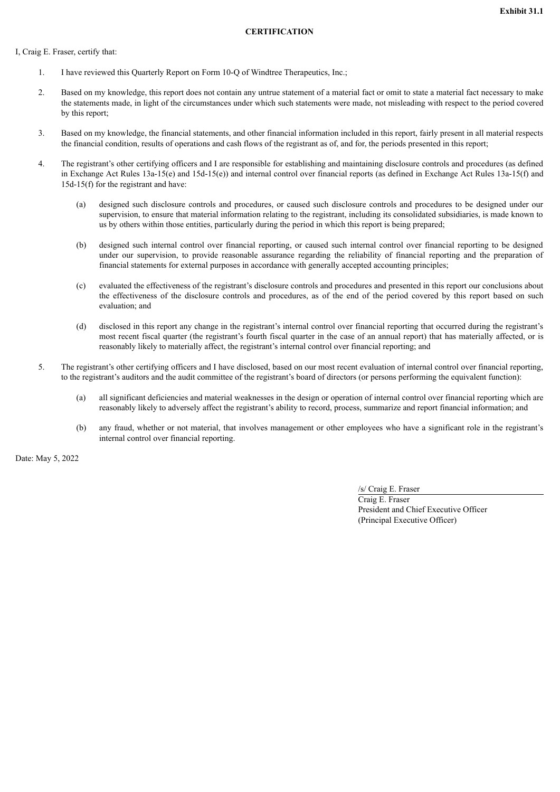## **CERTIFICATION**

## <span id="page-27-0"></span>I, Craig E. Fraser, certify that:

- 1. I have reviewed this Quarterly Report on Form 10-Q of Windtree Therapeutics, Inc.;
- 2. Based on my knowledge, this report does not contain any untrue statement of a material fact or omit to state a material fact necessary to make the statements made, in light of the circumstances under which such statements were made, not misleading with respect to the period covered by this report;
- 3. Based on my knowledge, the financial statements, and other financial information included in this report, fairly present in all material respects the financial condition, results of operations and cash flows of the registrant as of, and for, the periods presented in this report;
- 4. The registrant's other certifying officers and I are responsible for establishing and maintaining disclosure controls and procedures (as defined in Exchange Act Rules 13a-15(e) and 15d-15(e)) and internal control over financial reports (as defined in Exchange Act Rules 13a-15(f) and 15d-15(f) for the registrant and have:
	- (a) designed such disclosure controls and procedures, or caused such disclosure controls and procedures to be designed under our supervision, to ensure that material information relating to the registrant, including its consolidated subsidiaries, is made known to us by others within those entities, particularly during the period in which this report is being prepared;
	- (b) designed such internal control over financial reporting, or caused such internal control over financial reporting to be designed under our supervision, to provide reasonable assurance regarding the reliability of financial reporting and the preparation of financial statements for external purposes in accordance with generally accepted accounting principles;
	- (c) evaluated the effectiveness of the registrant's disclosure controls and procedures and presented in this report our conclusions about the effectiveness of the disclosure controls and procedures, as of the end of the period covered by this report based on such evaluation; and
	- (d) disclosed in this report any change in the registrant's internal control over financial reporting that occurred during the registrant's most recent fiscal quarter (the registrant's fourth fiscal quarter in the case of an annual report) that has materially affected, or is reasonably likely to materially affect, the registrant's internal control over financial reporting; and
- 5. The registrant's other certifying officers and I have disclosed, based on our most recent evaluation of internal control over financial reporting, to the registrant's auditors and the audit committee of the registrant's board of directors (or persons performing the equivalent function):
	- (a) all significant deficiencies and material weaknesses in the design or operation of internal control over financial reporting which are reasonably likely to adversely affect the registrant's ability to record, process, summarize and report financial information; and
	- (b) any fraud, whether or not material, that involves management or other employees who have a significant role in the registrant's internal control over financial reporting.

Date: May 5, 2022

/s/ Craig E. Fraser

Craig E. Fraser President and Chief Executive Officer (Principal Executive Officer)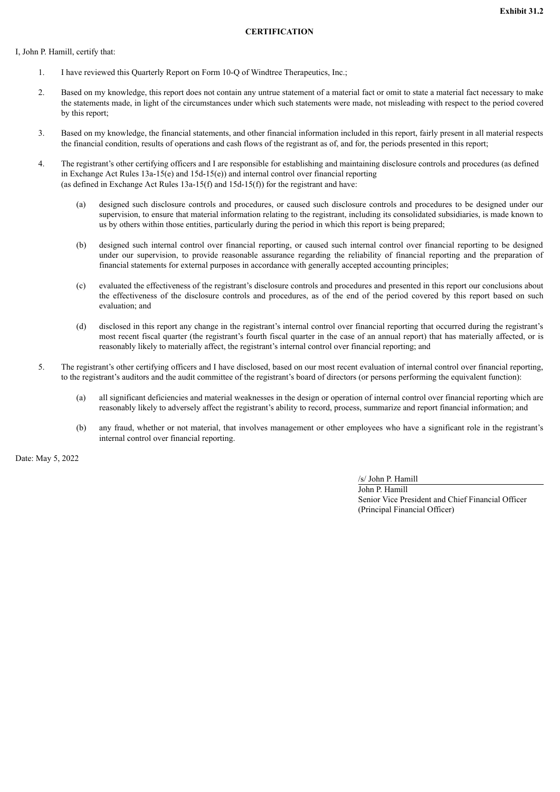## **CERTIFICATION**

## <span id="page-28-0"></span>I, John P. Hamill, certify that:

- 1. I have reviewed this Quarterly Report on Form 10-Q of Windtree Therapeutics, Inc.;
- 2. Based on my knowledge, this report does not contain any untrue statement of a material fact or omit to state a material fact necessary to make the statements made, in light of the circumstances under which such statements were made, not misleading with respect to the period covered by this report;
- 3. Based on my knowledge, the financial statements, and other financial information included in this report, fairly present in all material respects the financial condition, results of operations and cash flows of the registrant as of, and for, the periods presented in this report;
- 4. The registrant's other certifying officers and I are responsible for establishing and maintaining disclosure controls and procedures (as defined in Exchange Act Rules  $13a-15(e)$  and  $15d-15(e)$ ) and internal control over financial reporting (as defined in Exchange Act Rules 13a-15(f) and 15d-15(f)) for the registrant and have:
	- (a) designed such disclosure controls and procedures, or caused such disclosure controls and procedures to be designed under our supervision, to ensure that material information relating to the registrant, including its consolidated subsidiaries, is made known to us by others within those entities, particularly during the period in which this report is being prepared;
	- (b) designed such internal control over financial reporting, or caused such internal control over financial reporting to be designed under our supervision, to provide reasonable assurance regarding the reliability of financial reporting and the preparation of financial statements for external purposes in accordance with generally accepted accounting principles;
	- (c) evaluated the effectiveness of the registrant's disclosure controls and procedures and presented in this report our conclusions about the effectiveness of the disclosure controls and procedures, as of the end of the period covered by this report based on such evaluation; and
	- (d) disclosed in this report any change in the registrant's internal control over financial reporting that occurred during the registrant's most recent fiscal quarter (the registrant's fourth fiscal quarter in the case of an annual report) that has materially affected, or is reasonably likely to materially affect, the registrant's internal control over financial reporting; and
- 5. The registrant's other certifying officers and I have disclosed, based on our most recent evaluation of internal control over financial reporting, to the registrant's auditors and the audit committee of the registrant's board of directors (or persons performing the equivalent function):
	- (a) all significant deficiencies and material weaknesses in the design or operation of internal control over financial reporting which are reasonably likely to adversely affect the registrant's ability to record, process, summarize and report financial information; and
	- (b) any fraud, whether or not material, that involves management or other employees who have a significant role in the registrant's internal control over financial reporting.

Date: May 5, 2022

/s/ John P. Hamill

John P. Hamill Senior Vice President and Chief Financial Officer (Principal Financial Officer)